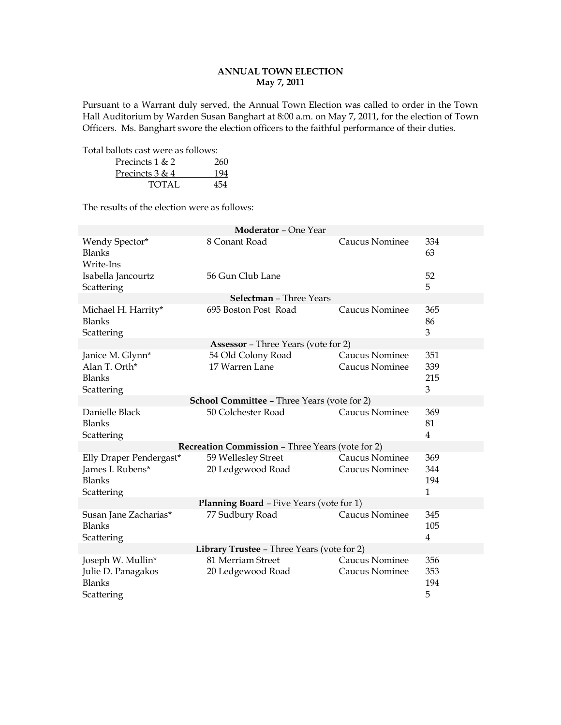# **ANNUAL TOWN ELECTION May 7, 2011**

Pursuant to a Warrant duly served, the Annual Town Election was called to order in the Town Hall Auditorium by Warden Susan Banghart at 8:00 a.m. on May 7, 2011, for the election of Town Officers. Ms. Banghart swore the election officers to the faithful performance of their duties.

Total ballots cast were as follows: Precincts  $1 & 2 & 260$ Precincts 3 & 4 194 TOTAL 454

The results of the election were as follows:

| <b>Moderator - One Year</b>                                                |                                                         |                                         |                                   |  |
|----------------------------------------------------------------------------|---------------------------------------------------------|-----------------------------------------|-----------------------------------|--|
| Wendy Spector*<br><b>Blanks</b><br>Write-Ins                               | 8 Conant Road                                           | <b>Caucus Nominee</b>                   | 334<br>63                         |  |
| Isabella Jancourtz<br>Scattering                                           | 56 Gun Club Lane                                        |                                         | 52<br>5                           |  |
|                                                                            | <b>Selectman - Three Years</b>                          |                                         |                                   |  |
| Michael H. Harrity*<br><b>Blanks</b><br>Scattering                         | 695 Boston Post Road                                    | <b>Caucus Nominee</b>                   | 365<br>86<br>3                    |  |
|                                                                            | <b>Assessor</b> - Three Years (vote for 2)              |                                         |                                   |  |
| Janice M. Glynn*<br>Alan T. Orth*<br><b>Blanks</b><br>Scattering           | 54 Old Colony Road<br>17 Warren Lane                    | Caucus Nominee<br>Caucus Nominee        | 351<br>339<br>215<br>3            |  |
|                                                                            | <b>School Committee - Three Years (vote for 2)</b>      |                                         |                                   |  |
| Danielle Black<br>Blanks<br>Scattering                                     | 50 Colchester Road                                      | Caucus Nominee                          | 369<br>81<br>$\overline{4}$       |  |
|                                                                            | <b>Recreation Commission - Three Years (vote for 2)</b> |                                         |                                   |  |
| Elly Draper Pendergast*<br>James I. Rubens*<br><b>Blanks</b><br>Scattering | 59 Wellesley Street<br>20 Ledgewood Road                | Caucus Nominee<br>Caucus Nominee        | 369<br>344<br>194<br>$\mathbf{1}$ |  |
| <b>Planning Board - Five Years (vote for 1)</b>                            |                                                         |                                         |                                   |  |
| Susan Jane Zacharias*<br><b>Blanks</b><br>Scattering                       | 77 Sudbury Road                                         | Caucus Nominee                          | 345<br>105<br>$\overline{4}$      |  |
| Library Trustee - Three Years (vote for 2)                                 |                                                         |                                         |                                   |  |
| Joseph W. Mullin*<br>Julie D. Panagakos<br><b>Blanks</b><br>Scattering     | 81 Merriam Street<br>20 Ledgewood Road                  | <b>Caucus Nominee</b><br>Caucus Nominee | 356<br>353<br>194<br>5            |  |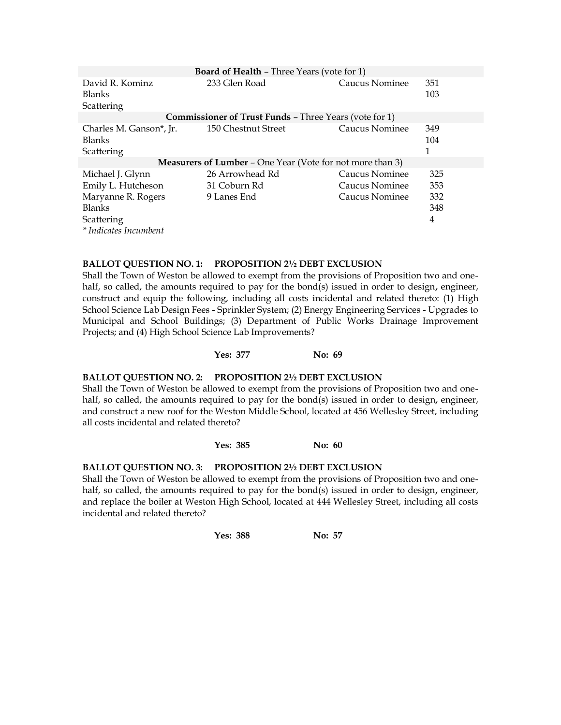| <b>Board of Health - Three Years (vote for 1)</b>                |                                                               |                |            |
|------------------------------------------------------------------|---------------------------------------------------------------|----------------|------------|
| David R. Kominz<br><b>Blanks</b>                                 | 233 Glen Road                                                 | Caucus Nominee | 351<br>103 |
| Scattering                                                       |                                                               |                |            |
|                                                                  | <b>Commissioner of Trust Funds - Three Years (vote for 1)</b> |                |            |
| Charles M. Ganson <sup>*</sup> , Jr.                             | 150 Chestnut Street                                           | Caucus Nominee | 349        |
| <b>Blanks</b>                                                    |                                                               |                | 104        |
| Scattering                                                       |                                                               |                |            |
| <b>Measurers of Lumber - One Year (Vote for not more than 3)</b> |                                                               |                |            |
| Michael J. Glynn                                                 | 26 Arrowhead Rd                                               | Caucus Nominee | 325        |
| Emily L. Hutcheson                                               | 31 Coburn Rd                                                  | Caucus Nominee | 353        |
| Maryanne R. Rogers                                               | 9 Lanes End                                                   | Caucus Nominee | 332        |
| <b>Blanks</b>                                                    |                                                               |                | 348        |
| Scattering                                                       |                                                               |                | 4          |
| * Indicates Incumbent                                            |                                                               |                |            |

# **BALLOT QUESTION NO. 1: PROPOSITION 2½ DEBT EXCLUSION**

Shall the Town of Weston be allowed to exempt from the provisions of Proposition two and onehalf, so called, the amounts required to pay for the bond(s) issued in order to design**,** engineer, construct and equip the following, including all costs incidental and related thereto: (1) High School Science Lab Design Fees - Sprinkler System; (2) Energy Engineering Services - Upgrades to Municipal and School Buildings; (3) Department of Public Works Drainage Improvement Projects; and (4) High School Science Lab Improvements?

### **Yes: 377 No: 69**

# **BALLOT QUESTION NO. 2: PROPOSITION 2½ DEBT EXCLUSION**

Shall the Town of Weston be allowed to exempt from the provisions of Proposition two and onehalf, so called, the amounts required to pay for the bond(s) issued in order to design**,** engineer, and construct a new roof for the Weston Middle School, located at 456 Wellesley Street, including all costs incidental and related thereto?

## **Yes: 385 No: 60**

# **BALLOT QUESTION NO. 3: PROPOSITION 2½ DEBT EXCLUSION**

Shall the Town of Weston be allowed to exempt from the provisions of Proposition two and onehalf, so called, the amounts required to pay for the bond(s) issued in order to design**,** engineer, and replace the boiler at Weston High School, located at 444 Wellesley Street, including all costs incidental and related thereto?

**Yes: 388 No: 57**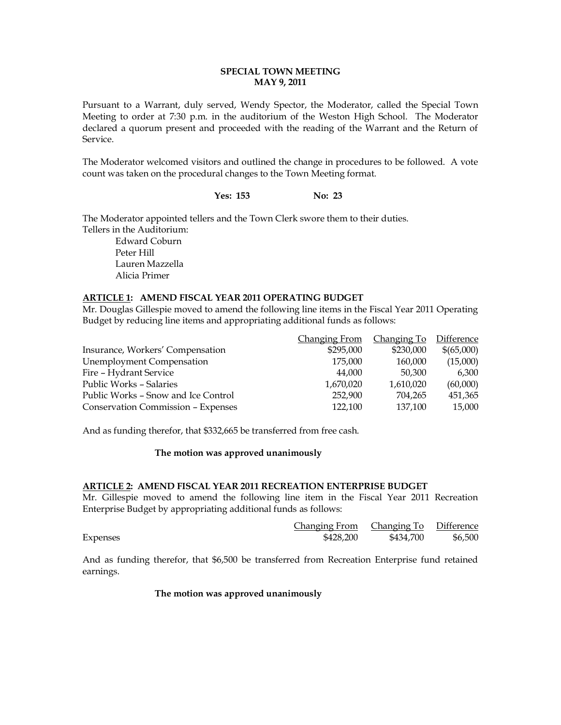# **SPECIAL TOWN MEETING MAY 9, 2011**

Pursuant to a Warrant, duly served, Wendy Spector, the Moderator, called the Special Town Meeting to order at 7:30 p.m. in the auditorium of the Weston High School. The Moderator declared a quorum present and proceeded with the reading of the Warrant and the Return of Service.

The Moderator welcomed visitors and outlined the change in procedures to be followed. A vote count was taken on the procedural changes to the Town Meeting format.

# Yes: 153 **No: 23**

The Moderator appointed tellers and the Town Clerk swore them to their duties. Tellers in the Auditorium:

Edward Coburn Peter Hill Lauren Mazzella Alicia Primer

# **ARTICLE 1: AMEND FISCAL YEAR 2011 OPERATING BUDGET**

Mr. Douglas Gillespie moved to amend the following line items in the Fiscal Year 2011 Operating Budget by reducing line items and appropriating additional funds as follows:

|                                           | <b>Changing From</b> | Changing To | Difference |
|-------------------------------------------|----------------------|-------------|------------|
| Insurance, Workers' Compensation          | \$295,000            | \$230,000   | \$(65,000) |
| <b>Unemployment Compensation</b>          | 175,000              | 160,000     | (15,000)   |
| Fire - Hydrant Service                    | 44,000               | 50,300      | 6.300      |
| <b>Public Works - Salaries</b>            | 1,670,020            | 1,610,020   | (60,000)   |
| Public Works – Snow and Ice Control       | 252,900              | 704,265     | 451,365    |
| <b>Conservation Commission - Expenses</b> | 122,100              | 137,100     | 15,000     |

And as funding therefor, that \$332,665 be transferred from free cash.

### **The motion was approved unanimously**

### **ARTICLE 2: AMEND FISCAL YEAR 2011 RECREATION ENTERPRISE BUDGET**

Mr. Gillespie moved to amend the following line item in the Fiscal Year 2011 Recreation Enterprise Budget by appropriating additional funds as follows:

|          | Changing From | Changing To Difference |         |
|----------|---------------|------------------------|---------|
| Expenses | \$428,200     | \$434,700              | \$6,500 |

And as funding therefor, that \$6,500 be transferred from Recreation Enterprise fund retained earnings.

### **The motion was approved unanimously**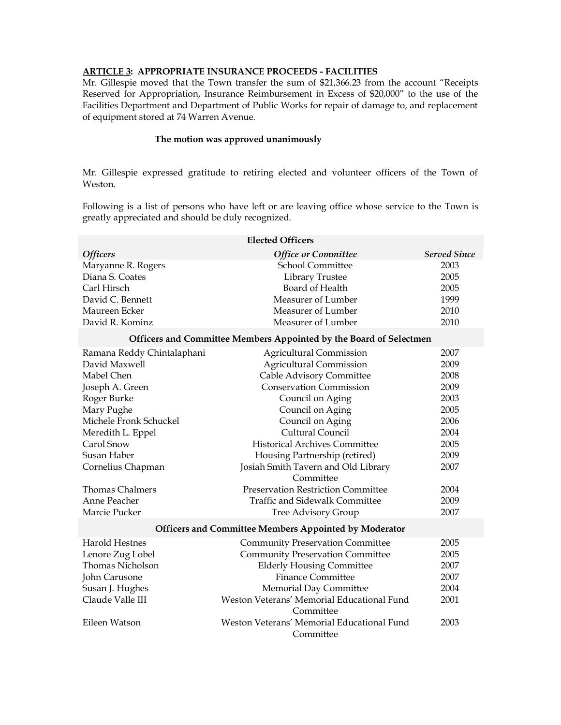# **ARTICLE 3: APPROPRIATE INSURANCE PROCEEDS - FACILITIES**

Mr. Gillespie moved that the Town transfer the sum of \$21,366.23 from the account "Receipts Reserved for Appropriation, Insurance Reimbursement in Excess of \$20,000" to the use of the Facilities Department and Department of Public Works for repair of damage to, and replacement of equipment stored at 74 Warren Avenue.

### **The motion was approved unanimously**

Mr. Gillespie expressed gratitude to retiring elected and volunteer officers of the Town of Weston.

Following is a list of persons who have left or are leaving office whose service to the Town is greatly appreciated and should be duly recognized.

| <b>Elected Officers</b>                                      |                                                                    |                     |  |
|--------------------------------------------------------------|--------------------------------------------------------------------|---------------------|--|
| <b>Officers</b>                                              | Office or Committee                                                | <b>Served Since</b> |  |
| Maryanne R. Rogers                                           | <b>School Committee</b>                                            | 2003                |  |
| Diana S. Coates                                              | Library Trustee                                                    | 2005                |  |
| Carl Hirsch                                                  | Board of Health                                                    | 2005                |  |
| David C. Bennett                                             | Measurer of Lumber                                                 | 1999                |  |
| Maureen Ecker                                                | Measurer of Lumber                                                 | 2010                |  |
| David R. Kominz                                              | Measurer of Lumber                                                 | 2010                |  |
|                                                              | Officers and Committee Members Appointed by the Board of Selectmen |                     |  |
| Ramana Reddy Chintalaphani                                   | <b>Agricultural Commission</b>                                     | 2007                |  |
| David Maxwell                                                | <b>Agricultural Commission</b>                                     | 2009                |  |
| Mabel Chen                                                   | Cable Advisory Committee                                           | 2008                |  |
| Joseph A. Green                                              | <b>Conservation Commission</b>                                     | 2009                |  |
| Roger Burke                                                  | Council on Aging                                                   | 2003                |  |
| Mary Pughe                                                   | Council on Aging                                                   | 2005                |  |
| Michele Fronk Schuckel                                       | Council on Aging                                                   | 2006                |  |
| Meredith L. Eppel                                            | Cultural Council                                                   | 2004                |  |
| Carol Snow                                                   | <b>Historical Archives Committee</b>                               | 2005                |  |
| Susan Haber                                                  | Housing Partnership (retired)                                      | 2009                |  |
| Cornelius Chapman                                            | Josiah Smith Tavern and Old Library<br>Committee                   | 2007                |  |
| <b>Thomas Chalmers</b>                                       | <b>Preservation Restriction Committee</b>                          | 2004                |  |
| Anne Peacher                                                 | <b>Traffic and Sidewalk Committee</b>                              | 2009                |  |
| Marcie Pucker                                                | <b>Tree Advisory Group</b>                                         | 2007                |  |
| <b>Officers and Committee Members Appointed by Moderator</b> |                                                                    |                     |  |
| <b>Harold Hestnes</b>                                        | <b>Community Preservation Committee</b>                            | 2005                |  |
| Lenore Zug Lobel                                             | <b>Community Preservation Committee</b>                            | 2005                |  |
| <b>Thomas Nicholson</b>                                      | <b>Elderly Housing Committee</b>                                   | 2007                |  |
| John Carusone                                                | <b>Finance Committee</b>                                           | 2007                |  |
| Susan J. Hughes                                              | Memorial Day Committee                                             | 2004                |  |
| Claude Valle III                                             | Weston Veterans' Memorial Educational Fund<br>Committee            | 2001                |  |
| Eileen Watson                                                | Weston Veterans' Memorial Educational Fund                         | 2003                |  |
|                                                              | Committee                                                          |                     |  |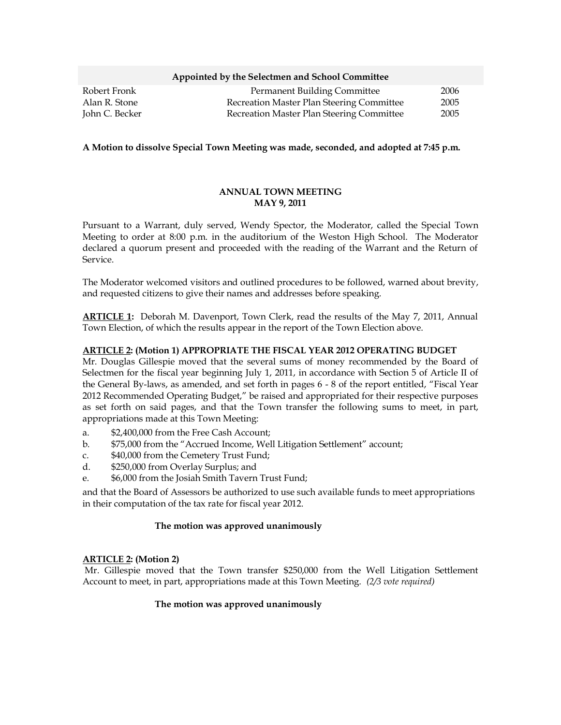#### **Appointed by the Selectmen and School Committee**

| Robert Fronk   | <b>Permanent Building Committee</b>       | 2006 |
|----------------|-------------------------------------------|------|
| Alan R. Stone  | Recreation Master Plan Steering Committee | 2005 |
| John C. Becker | Recreation Master Plan Steering Committee | 2005 |

#### **A Motion to dissolve Special Town Meeting was made, seconded, and adopted at 7:45 p.m.**

### **ANNUAL TOWN MEETING MAY 9, 2011**

Pursuant to a Warrant, duly served, Wendy Spector, the Moderator, called the Special Town Meeting to order at 8:00 p.m. in the auditorium of the Weston High School. The Moderator declared a quorum present and proceeded with the reading of the Warrant and the Return of Service.

The Moderator welcomed visitors and outlined procedures to be followed, warned about brevity, and requested citizens to give their names and addresses before speaking.

**ARTICLE 1:** Deborah M. Davenport, Town Clerk, read the results of the May 7, 2011, Annual Town Election, of which the results appear in the report of the Town Election above.

### **ARTICLE 2: (Motion 1) APPROPRIATE THE FISCAL YEAR 2012 OPERATING BUDGET**

Mr. Douglas Gillespie moved that the several sums of money recommended by the Board of Selectmen for the fiscal year beginning July 1, 2011, in accordance with Section 5 of Article II of the General By-laws, as amended, and set forth in pages 6 - 8 of the report entitled, "Fiscal Year 2012 Recommended Operating Budget," be raised and appropriated for their respective purposes as set forth on said pages, and that the Town transfer the following sums to meet, in part, appropriations made at this Town Meeting:

- a. \$2,400,000 from the Free Cash Account;
- b. \$75,000 from the "Accrued Income, Well Litigation Settlement" account;
- c. \$40,000 from the Cemetery Trust Fund;
- d. \$250,000 from Overlay Surplus; and
- e. \$6,000 from the Josiah Smith Tavern Trust Fund;

and that the Board of Assessors be authorized to use such available funds to meet appropriations in their computation of the tax rate for fiscal year 2012.

#### **The motion was approved unanimously**

#### **ARTICLE 2: (Motion 2)**

Mr. Gillespie moved that the Town transfer \$250,000 from the Well Litigation Settlement Account to meet, in part, appropriations made at this Town Meeting. *(2/3 vote required)*

### **The motion was approved unanimously**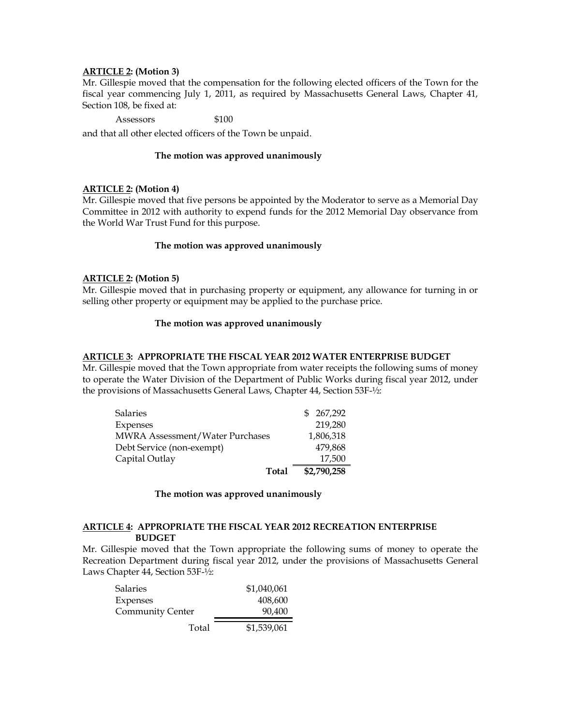### **ARTICLE 2: (Motion 3)**

Mr. Gillespie moved that the compensation for the following elected officers of the Town for the fiscal year commencing July 1, 2011, as required by Massachusetts General Laws, Chapter 41, Section 108, be fixed at:

### Assessors \$100

and that all other elected officers of the Town be unpaid.

### **The motion was approved unanimously**

### **ARTICLE 2: (Motion 4)**

Mr. Gillespie moved that five persons be appointed by the Moderator to serve as a Memorial Day Committee in 2012 with authority to expend funds for the 2012 Memorial Day observance from the World War Trust Fund for this purpose.

#### **The motion was approved unanimously**

### **ARTICLE 2: (Motion 5)**

Mr. Gillespie moved that in purchasing property or equipment, any allowance for turning in or selling other property or equipment may be applied to the purchase price.

### **The motion was approved unanimously**

### **ARTICLE 3: APPROPRIATE THE FISCAL YEAR 2012 WATER ENTERPRISE BUDGET**

Mr. Gillespie moved that the Town appropriate from water receipts the following sums of money to operate the Water Division of the Department of Public Works during fiscal year 2012, under the provisions of Massachusetts General Laws, Chapter 44, Section 53F-½:

| Salaries                        | \$267.292   |
|---------------------------------|-------------|
| Expenses                        | 219,280     |
| MWRA Assessment/Water Purchases | 1,806,318   |
| Debt Service (non-exempt)       | 479,868     |
| Capital Outlay                  | 17,500      |
| Total                           | \$2,790,258 |

#### **The motion was approved unanimously**

#### **ARTICLE 4: APPROPRIATE THE FISCAL YEAR 2012 RECREATION ENTERPRISE BUDGET**

Mr. Gillespie moved that the Town appropriate the following sums of money to operate the Recreation Department during fiscal year 2012, under the provisions of Massachusetts General Laws Chapter 44, Section 53F-½:

| Salaries                | \$1,040,061 |
|-------------------------|-------------|
| Expenses                | 408,600     |
| <b>Community Center</b> | 90,400      |
| Total                   | \$1,539,061 |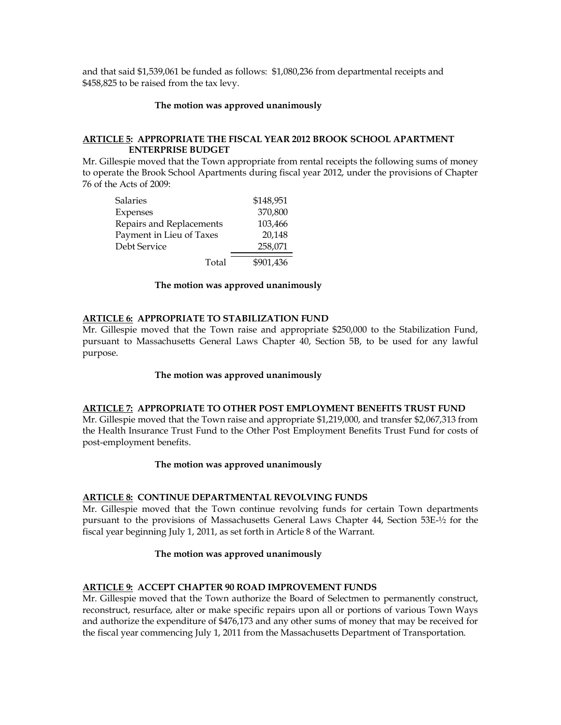and that said \$1,539,061 be funded as follows: \$1,080,236 from departmental receipts and \$458,825 to be raised from the tax levy.

#### **The motion was approved unanimously**

### **ARTICLE 5: APPROPRIATE THE FISCAL YEAR 2012 BROOK SCHOOL APARTMENT ENTERPRISE BUDGET**

Mr. Gillespie moved that the Town appropriate from rental receipts the following sums of money to operate the Brook School Apartments during fiscal year 2012, under the provisions of Chapter 76 of the Acts of 2009:

| Salaries                 | \$148,951 |
|--------------------------|-----------|
| Expenses                 | 370,800   |
| Repairs and Replacements | 103,466   |
| Payment in Lieu of Taxes | 20,148    |
| Debt Service             | 258,071   |
| Total                    | \$901,436 |

#### **The motion was approved unanimously**

#### **ARTICLE 6: APPROPRIATE TO STABILIZATION FUND**

Mr. Gillespie moved that the Town raise and appropriate \$250,000 to the Stabilization Fund, pursuant to Massachusetts General Laws Chapter 40, Section 5B, to be used for any lawful purpose.

#### **The motion was approved unanimously**

#### **ARTICLE 7: APPROPRIATE TO OTHER POST EMPLOYMENT BENEFITS TRUST FUND**

Mr. Gillespie moved that the Town raise and appropriate \$1,219,000, and transfer \$2,067,313 from the Health Insurance Trust Fund to the Other Post Employment Benefits Trust Fund for costs of post-employment benefits.

#### **The motion was approved unanimously**

#### **ARTICLE 8: CONTINUE DEPARTMENTAL REVOLVING FUNDS**

Mr. Gillespie moved that the Town continue revolving funds for certain Town departments pursuant to the provisions of Massachusetts General Laws Chapter 44, Section 53E-½ for the fiscal year beginning July 1, 2011, as set forth in Article 8 of the Warrant.

#### **The motion was approved unanimously**

### **ARTICLE 9: ACCEPT CHAPTER 90 ROAD IMPROVEMENT FUNDS**

Mr. Gillespie moved that the Town authorize the Board of Selectmen to permanently construct, reconstruct, resurface, alter or make specific repairs upon all or portions of various Town Ways and authorize the expenditure of \$476,173 and any other sums of money that may be received for the fiscal year commencing July 1, 2011 from the Massachusetts Department of Transportation.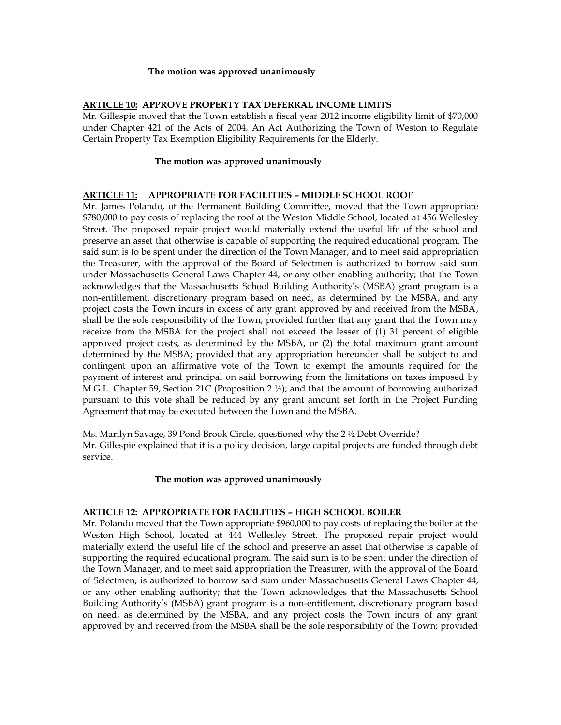#### **The motion was approved unanimously**

### **ARTICLE 10: APPROVE PROPERTY TAX DEFERRAL INCOME LIMITS**

Mr. Gillespie moved that the Town establish a fiscal year 2012 income eligibility limit of \$70,000 under Chapter 421 of the Acts of 2004, An Act Authorizing the Town of Weston to Regulate Certain Property Tax Exemption Eligibility Requirements for the Elderly.

## **The motion was approved unanimously**

### **ARTICLE 11: APPROPRIATE FOR FACILITIES – MIDDLE SCHOOL ROOF**

Mr. James Polando, of the Permanent Building Committee, moved that the Town appropriate \$780,000 to pay costs of replacing the roof at the Weston Middle School, located at 456 Wellesley Street. The proposed repair project would materially extend the useful life of the school and preserve an asset that otherwise is capable of supporting the required educational program. The said sum is to be spent under the direction of the Town Manager, and to meet said appropriation the Treasurer, with the approval of the Board of Selectmen is authorized to borrow said sum under Massachusetts General Laws Chapter 44, or any other enabling authority; that the Town acknowledges that the Massachusetts School Building Authority's (MSBA) grant program is a non-entitlement, discretionary program based on need, as determined by the MSBA, and any project costs the Town incurs in excess of any grant approved by and received from the MSBA, shall be the sole responsibility of the Town; provided further that any grant that the Town may receive from the MSBA for the project shall not exceed the lesser of (1) 31 percent of eligible approved project costs, as determined by the MSBA, or (2) the total maximum grant amount determined by the MSBA; provided that any appropriation hereunder shall be subject to and contingent upon an affirmative vote of the Town to exempt the amounts required for the payment of interest and principal on said borrowing from the limitations on taxes imposed by M.G.L. Chapter 59, Section 21C (Proposition 2 ½); and that the amount of borrowing authorized pursuant to this vote shall be reduced by any grant amount set forth in the Project Funding Agreement that may be executed between the Town and the MSBA.

Ms. Marilyn Savage, 39 Pond Brook Circle, questioned why the 2 ½ Debt Override? Mr. Gillespie explained that it is a policy decision, large capital projects are funded through debt service.

### **The motion was approved unanimously**

## **ARTICLE 12: APPROPRIATE FOR FACILITIES – HIGH SCHOOL BOILER**

Mr. Polando moved that the Town appropriate \$960,000 to pay costs of replacing the boiler at the Weston High School, located at 444 Wellesley Street. The proposed repair project would materially extend the useful life of the school and preserve an asset that otherwise is capable of supporting the required educational program. The said sum is to be spent under the direction of the Town Manager, and to meet said appropriation the Treasurer, with the approval of the Board of Selectmen, is authorized to borrow said sum under Massachusetts General Laws Chapter 44, or any other enabling authority; that the Town acknowledges that the Massachusetts School Building Authority's (MSBA) grant program is a non-entitlement, discretionary program based on need, as determined by the MSBA, and any project costs the Town incurs of any grant approved by and received from the MSBA shall be the sole responsibility of the Town; provided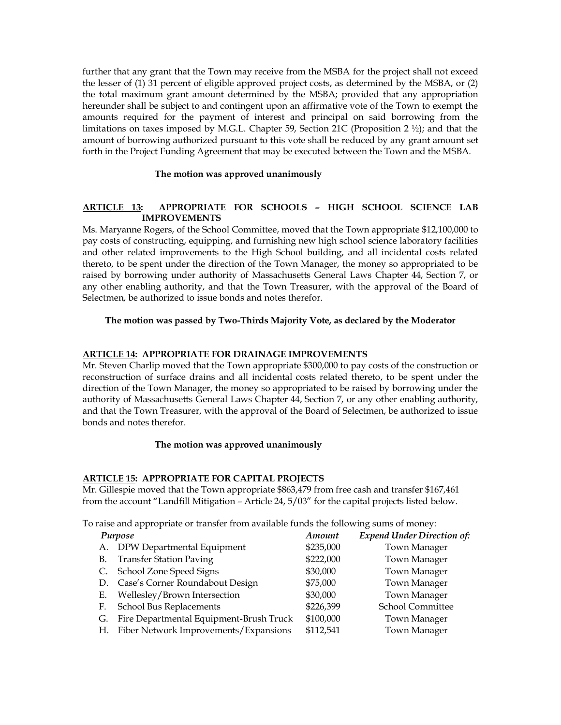further that any grant that the Town may receive from the MSBA for the project shall not exceed the lesser of (1) 31 percent of eligible approved project costs, as determined by the MSBA, or (2) the total maximum grant amount determined by the MSBA; provided that any appropriation hereunder shall be subject to and contingent upon an affirmative vote of the Town to exempt the amounts required for the payment of interest and principal on said borrowing from the limitations on taxes imposed by M.G.L. Chapter 59, Section 21C (Proposition 2 ½); and that the amount of borrowing authorized pursuant to this vote shall be reduced by any grant amount set forth in the Project Funding Agreement that may be executed between the Town and the MSBA.

## **The motion was approved unanimously**

# **ARTICLE 13: APPROPRIATE FOR SCHOOLS – HIGH SCHOOL SCIENCE LAB IMPROVEMENTS**

Ms. Maryanne Rogers, of the School Committee, moved that the Town appropriate \$12,100,000 to pay costs of constructing, equipping, and furnishing new high school science laboratory facilities and other related improvements to the High School building, and all incidental costs related thereto, to be spent under the direction of the Town Manager, the money so appropriated to be raised by borrowing under authority of Massachusetts General Laws Chapter 44, Section 7, or any other enabling authority, and that the Town Treasurer, with the approval of the Board of Selectmen, be authorized to issue bonds and notes therefor.

## **The motion was passed by Two-Thirds Majority Vote, as declared by the Moderator**

## **ARTICLE 14: APPROPRIATE FOR DRAINAGE IMPROVEMENTS**

Mr. Steven Charlip moved that the Town appropriate \$300,000 to pay costs of the construction or reconstruction of surface drains and all incidental costs related thereto, to be spent under the direction of the Town Manager, the money so appropriated to be raised by borrowing under the authority of Massachusetts General Laws Chapter 44, Section 7, or any other enabling authority, and that the Town Treasurer, with the approval of the Board of Selectmen, be authorized to issue bonds and notes therefor.

### **The motion was approved unanimously**

### **ARTICLE 15: APPROPRIATE FOR CAPITAL PROJECTS**

Mr. Gillespie moved that the Town appropriate \$863,479 from free cash and transfer \$167,461 from the account "Landfill Mitigation – Article 24, 5/03" for the capital projects listed below.

To raise and appropriate or transfer from available funds the following sums of money:

|    | Purpose                                  | Amount    | <b>Expend Under Direction of:</b> |
|----|------------------------------------------|-----------|-----------------------------------|
|    | A. DPW Departmental Equipment            | \$235,000 | Town Manager                      |
| В. | <b>Transfer Station Paving</b>           | \$222,000 | <b>Town Manager</b>               |
|    | C. School Zone Speed Signs               | \$30,000  | Town Manager                      |
|    | D. Case's Corner Roundabout Design       | \$75,000  | Town Manager                      |
| Е. | Wellesley/Brown Intersection             | \$30,000  | Town Manager                      |
| F. | School Bus Replacements                  | \$226,399 | School Committee                  |
| G. | Fire Departmental Equipment-Brush Truck  | \$100,000 | <b>Town Manager</b>               |
|    | H. Fiber Network Improvements/Expansions | \$112,541 | <b>Town Manager</b>               |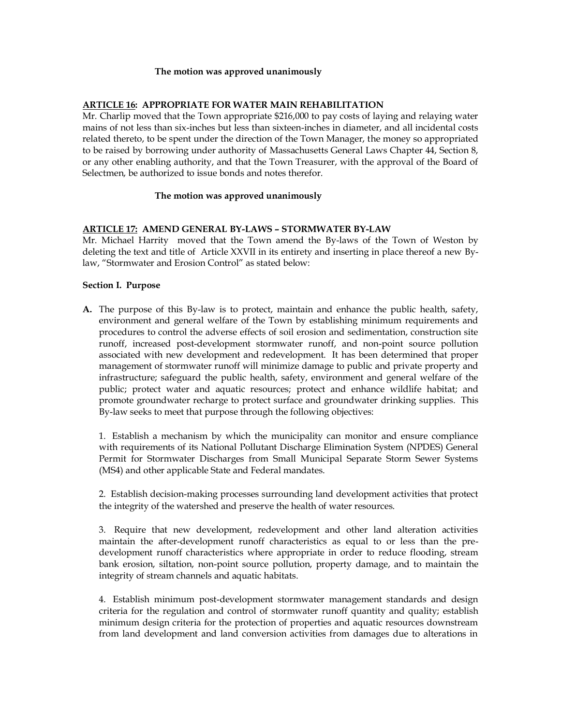#### **The motion was approved unanimously**

### **ARTICLE 16: APPROPRIATE FOR WATER MAIN REHABILITATION**

Mr. Charlip moved that the Town appropriate \$216,000 to pay costs of laying and relaying water mains of not less than six-inches but less than sixteen-inches in diameter, and all incidental costs related thereto, to be spent under the direction of the Town Manager, the money so appropriated to be raised by borrowing under authority of Massachusetts General Laws Chapter 44, Section 8, or any other enabling authority, and that the Town Treasurer, with the approval of the Board of Selectmen, be authorized to issue bonds and notes therefor.

### **The motion was approved unanimously**

## **ARTICLE 17: AMEND GENERAL BY-LAWS – STORMWATER BY-LAW**

Mr. Michael Harrity moved that the Town amend the By-laws of the Town of Weston by deleting the text and title of Article XXVII in its entirety and inserting in place thereof a new Bylaw, "Stormwater and Erosion Control" as stated below:

## **Section I. Purpose**

**A.** The purpose of this By-law is to protect, maintain and enhance the public health, safety, environment and general welfare of the Town by establishing minimum requirements and procedures to control the adverse effects of soil erosion and sedimentation, construction site runoff, increased post-development stormwater runoff, and non-point source pollution associated with new development and redevelopment. It has been determined that proper management of stormwater runoff will minimize damage to public and private property and infrastructure; safeguard the public health, safety, environment and general welfare of the public; protect water and aquatic resources; protect and enhance wildlife habitat; and promote groundwater recharge to protect surface and groundwater drinking supplies. This By-law seeks to meet that purpose through the following objectives:

1. Establish a mechanism by which the municipality can monitor and ensure compliance with requirements of its National Pollutant Discharge Elimination System (NPDES) General Permit for Stormwater Discharges from Small Municipal Separate Storm Sewer Systems (MS4) and other applicable State and Federal mandates.

2. Establish decision-making processes surrounding land development activities that protect the integrity of the watershed and preserve the health of water resources.

3. Require that new development, redevelopment and other land alteration activities maintain the after-development runoff characteristics as equal to or less than the predevelopment runoff characteristics where appropriate in order to reduce flooding, stream bank erosion, siltation, non-point source pollution, property damage, and to maintain the integrity of stream channels and aquatic habitats.

4. Establish minimum post-development stormwater management standards and design criteria for the regulation and control of stormwater runoff quantity and quality; establish minimum design criteria for the protection of properties and aquatic resources downstream from land development and land conversion activities from damages due to alterations in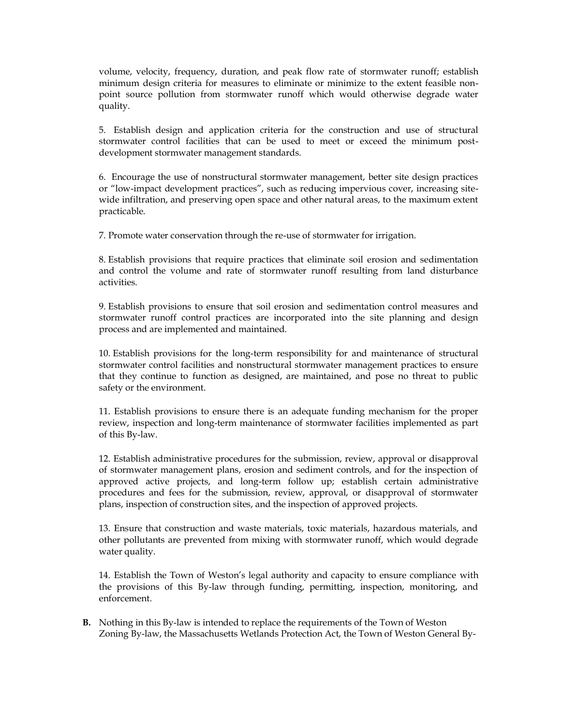volume, velocity, frequency, duration, and peak flow rate of stormwater runoff; establish minimum design criteria for measures to eliminate or minimize to the extent feasible nonpoint source pollution from stormwater runoff which would otherwise degrade water quality.

5. Establish design and application criteria for the construction and use of structural stormwater control facilities that can be used to meet or exceed the minimum postdevelopment stormwater management standards.

6. Encourage the use of nonstructural stormwater management, better site design practices or "low-impact development practices", such as reducing impervious cover, increasing sitewide infiltration, and preserving open space and other natural areas, to the maximum extent practicable.

7. Promote water conservation through the re-use of stormwater for irrigation.

8. Establish provisions that require practices that eliminate soil erosion and sedimentation and control the volume and rate of stormwater runoff resulting from land disturbance activities.

9. Establish provisions to ensure that soil erosion and sedimentation control measures and stormwater runoff control practices are incorporated into the site planning and design process and are implemented and maintained.

10. Establish provisions for the long-term responsibility for and maintenance of structural stormwater control facilities and nonstructural stormwater management practices to ensure that they continue to function as designed, are maintained, and pose no threat to public safety or the environment.

11. Establish provisions to ensure there is an adequate funding mechanism for the proper review, inspection and long-term maintenance of stormwater facilities implemented as part of this By-law.

12. Establish administrative procedures for the submission, review, approval or disapproval of stormwater management plans, erosion and sediment controls, and for the inspection of approved active projects, and long-term follow up; establish certain administrative procedures and fees for the submission, review, approval, or disapproval of stormwater plans, inspection of construction sites, and the inspection of approved projects.

13. Ensure that construction and waste materials, toxic materials, hazardous materials, and other pollutants are prevented from mixing with stormwater runoff, which would degrade water quality.

14. Establish the Town of Weston's legal authority and capacity to ensure compliance with the provisions of this By-law through funding, permitting, inspection, monitoring, and enforcement.

**B.** Nothing in this By-law is intended to replace the requirements of the Town of Weston Zoning By-law, the Massachusetts Wetlands Protection Act, the Town of Weston General By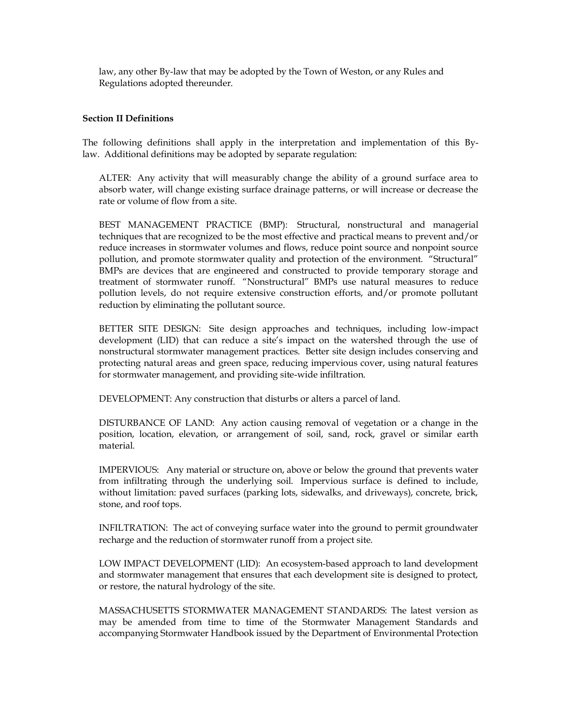law, any other By-law that may be adopted by the Town of Weston, or any Rules and Regulations adopted thereunder.

### **Section II Definitions**

The following definitions shall apply in the interpretation and implementation of this Bylaw. Additional definitions may be adopted by separate regulation:

ALTER: Any activity that will measurably change the ability of a ground surface area to absorb water, will change existing surface drainage patterns, or will increase or decrease the rate or volume of flow from a site.

BEST MANAGEMENT PRACTICE (BMP): Structural, nonstructural and managerial techniques that are recognized to be the most effective and practical means to prevent and/or reduce increases in stormwater volumes and flows, reduce point source and nonpoint source pollution, and promote stormwater quality and protection of the environment. "Structural" BMPs are devices that are engineered and constructed to provide temporary storage and treatment of stormwater runoff. "Nonstructural" BMPs use natural measures to reduce pollution levels, do not require extensive construction efforts, and/or promote pollutant reduction by eliminating the pollutant source.

BETTER SITE DESIGN: Site design approaches and techniques, including low-impact development (LID) that can reduce a site's impact on the watershed through the use of nonstructural stormwater management practices. Better site design includes conserving and protecting natural areas and green space, reducing impervious cover, using natural features for stormwater management, and providing site-wide infiltration.

DEVELOPMENT: Any construction that disturbs or alters a parcel of land.

DISTURBANCE OF LAND: Any action causing removal of vegetation or a change in the position, location, elevation, or arrangement of soil, sand, rock, gravel or similar earth material.

IMPERVIOUS: Any material or structure on, above or below the ground that prevents water from infiltrating through the underlying soil. Impervious surface is defined to include, without limitation: paved surfaces (parking lots, sidewalks, and driveways), concrete, brick, stone, and roof tops.

INFILTRATION: The act of conveying surface water into the ground to permit groundwater recharge and the reduction of stormwater runoff from a project site.

LOW IMPACT DEVELOPMENT (LID): An ecosystem-based approach to land development and stormwater management that ensures that each development site is designed to protect, or restore, the natural hydrology of the site.

MASSACHUSETTS STORMWATER MANAGEMENT STANDARDS: The latest version as may be amended from time to time of the Stormwater Management Standards and accompanying Stormwater Handbook issued by the Department of Environmental Protection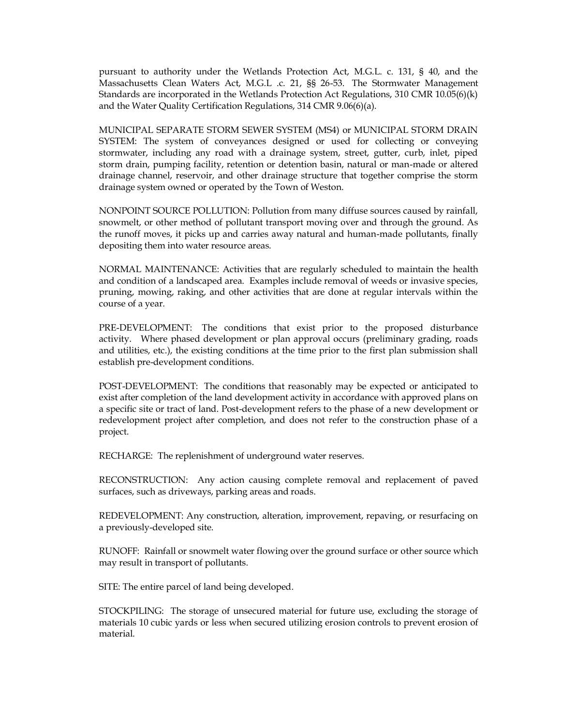pursuant to authority under the Wetlands Protection Act, M.G.L. c. 131, § 40, and the Massachusetts Clean Waters Act, M.G.L .c. 21, §§ 26-53. The Stormwater Management Standards are incorporated in the Wetlands Protection Act Regulations, 310 CMR 10.05(6)(k) and the Water Quality Certification Regulations, 314 CMR 9.06(6)(a).

MUNICIPAL SEPARATE STORM SEWER SYSTEM (MS4) or MUNICIPAL STORM DRAIN SYSTEM: The system of conveyances designed or used for collecting or conveying stormwater, including any road with a drainage system, street, gutter, curb, inlet, piped storm drain, pumping facility, retention or detention basin, natural or man-made or altered drainage channel, reservoir, and other drainage structure that together comprise the storm drainage system owned or operated by the Town of Weston.

NONPOINT SOURCE POLLUTION: Pollution from many diffuse sources caused by rainfall, snowmelt, or other method of pollutant transport moving over and through the ground. As the runoff moves, it picks up and carries away natural and human-made pollutants, finally depositing them into water resource areas.

NORMAL MAINTENANCE: Activities that are regularly scheduled to maintain the health and condition of a landscaped area. Examples include removal of weeds or invasive species, pruning, mowing, raking, and other activities that are done at regular intervals within the course of a year.

PRE-DEVELOPMENT: The conditions that exist prior to the proposed disturbance activity. Where phased development or plan approval occurs (preliminary grading, roads and utilities, etc.), the existing conditions at the time prior to the first plan submission shall establish pre-development conditions.

POST-DEVELOPMENT: The conditions that reasonably may be expected or anticipated to exist after completion of the land development activity in accordance with approved plans on a specific site or tract of land. Post-development refers to the phase of a new development or redevelopment project after completion, and does not refer to the construction phase of a project.

RECHARGE: The replenishment of underground water reserves.

RECONSTRUCTION: Any action causing complete removal and replacement of paved surfaces, such as driveways, parking areas and roads.

REDEVELOPMENT: Any construction, alteration, improvement, repaving, or resurfacing on a previously-developed site.

RUNOFF: Rainfall or snowmelt water flowing over the ground surface or other source which may result in transport of pollutants.

SITE: The entire parcel of land being developed.

STOCKPILING: The storage of unsecured material for future use, excluding the storage of materials 10 cubic yards or less when secured utilizing erosion controls to prevent erosion of material.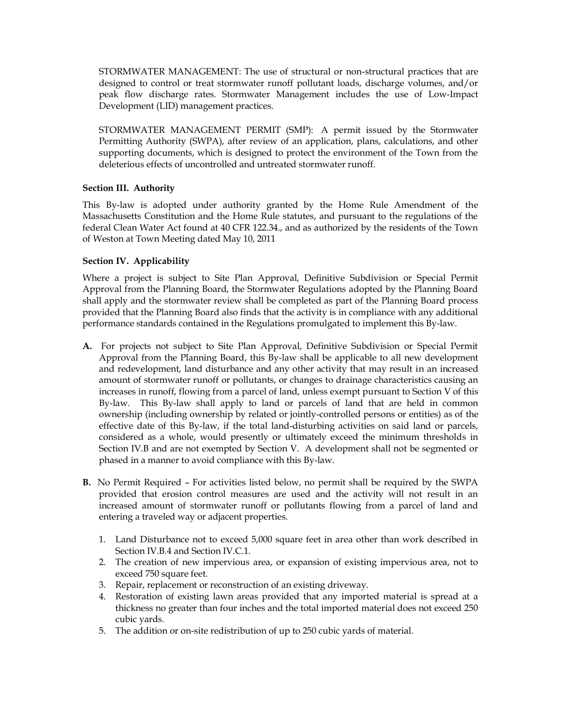STORMWATER MANAGEMENT: The use of structural or non-structural practices that are designed to control or treat stormwater runoff pollutant loads, discharge volumes, and/or peak flow discharge rates. Stormwater Management includes the use of Low-Impact Development (LID) management practices.

STORMWATER MANAGEMENT PERMIT (SMP): A permit issued by the Stormwater Permitting Authority (SWPA), after review of an application, plans, calculations, and other supporting documents, which is designed to protect the environment of the Town from the deleterious effects of uncontrolled and untreated stormwater runoff.

## **Section III. Authority**

This By-law is adopted under authority granted by the Home Rule Amendment of the Massachusetts Constitution and the Home Rule statutes, and pursuant to the regulations of the federal Clean Water Act found at 40 CFR 122.34., and as authorized by the residents of the Town of Weston at Town Meeting dated May 10, 2011

## **Section IV. Applicability**

Where a project is subject to Site Plan Approval, Definitive Subdivision or Special Permit Approval from the Planning Board, the Stormwater Regulations adopted by the Planning Board shall apply and the stormwater review shall be completed as part of the Planning Board process provided that the Planning Board also finds that the activity is in compliance with any additional performance standards contained in the Regulations promulgated to implement this By-law.

- **A.** For projects not subject to Site Plan Approval, Definitive Subdivision or Special Permit Approval from the Planning Board, this By-law shall be applicable to all new development and redevelopment, land disturbance and any other activity that may result in an increased amount of stormwater runoff or pollutants, or changes to drainage characteristics causing an increases in runoff, flowing from a parcel of land, unless exempt pursuant to Section V of this By-law. This By-law shall apply to land or parcels of land that are held in common ownership (including ownership by related or jointly-controlled persons or entities) as of the effective date of this By-law, if the total land-disturbing activities on said land or parcels, considered as a whole, would presently or ultimately exceed the minimum thresholds in Section IV.B and are not exempted by Section V. A development shall not be segmented or phased in a manner to avoid compliance with this By-law.
- **B.** No Permit Required For activities listed below, no permit shall be required by the SWPA provided that erosion control measures are used and the activity will not result in an increased amount of stormwater runoff or pollutants flowing from a parcel of land and entering a traveled way or adjacent properties.
	- 1. Land Disturbance not to exceed 5,000 square feet in area other than work described in Section IV.B.4 and Section IV.C.1.
	- 2. The creation of new impervious area, or expansion of existing impervious area, not to exceed 750 square feet.
	- 3. Repair, replacement or reconstruction of an existing driveway.
	- 4. Restoration of existing lawn areas provided that any imported material is spread at a thickness no greater than four inches and the total imported material does not exceed 250 cubic yards.
	- 5. The addition or on-site redistribution of up to 250 cubic yards of material.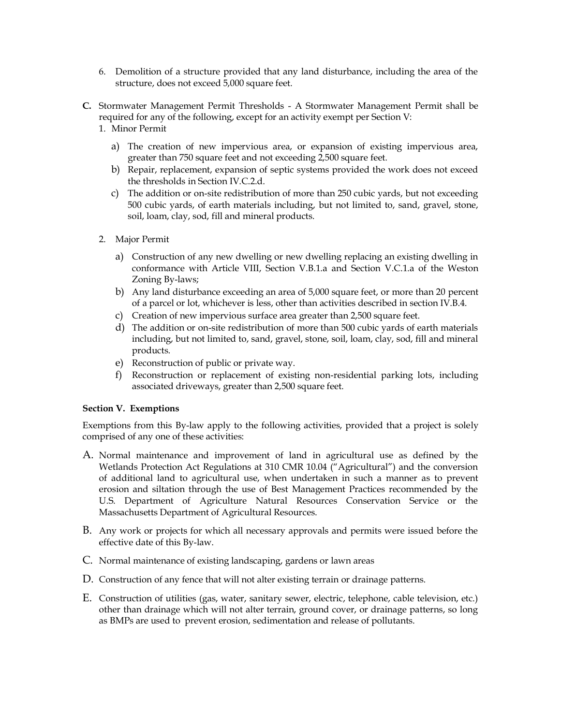- 6. Demolition of a structure provided that any land disturbance, including the area of the structure, does not exceed 5,000 square feet.
- **C.** Stormwater Management Permit Thresholds A Stormwater Management Permit shall be required for any of the following, except for an activity exempt per Section V:
	- 1. Minor Permit
		- a) The creation of new impervious area, or expansion of existing impervious area, greater than 750 square feet and not exceeding 2,500 square feet.
		- b) Repair, replacement, expansion of septic systems provided the work does not exceed the thresholds in Section IV.C.2.d.
		- c) The addition or on-site redistribution of more than 250 cubic yards, but not exceeding 500 cubic yards, of earth materials including, but not limited to, sand, gravel, stone, soil, loam, clay, sod, fill and mineral products.
	- 2. Major Permit
		- a) Construction of any new dwelling or new dwelling replacing an existing dwelling in conformance with Article VIII, Section V.B.1.a and Section V.C.1.a of the Weston Zoning By-laws;
		- b) Any land disturbance exceeding an area of 5,000 square feet, or more than 20 percent of a parcel or lot, whichever is less, other than activities described in section IV.B.4.
		- c) Creation of new impervious surface area greater than 2,500 square feet.
		- d) The addition or on-site redistribution of more than 500 cubic yards of earth materials including, but not limited to, sand, gravel, stone, soil, loam, clay, sod, fill and mineral products.
		- e) Reconstruction of public or private way.
		- f) Reconstruction or replacement of existing non-residential parking lots, including associated driveways, greater than 2,500 square feet.

### **Section V. Exemptions**

Exemptions from this By-law apply to the following activities, provided that a project is solely comprised of any one of these activities:

- A. Normal maintenance and improvement of land in agricultural use as defined by the Wetlands Protection Act Regulations at 310 CMR 10.04 ("Agricultural") and the conversion of additional land to agricultural use, when undertaken in such a manner as to prevent erosion and siltation through the use of Best Management Practices recommended by the U.S. Department of Agriculture Natural Resources Conservation Service or the Massachusetts Department of Agricultural Resources.
- B. Any work or projects for which all necessary approvals and permits were issued before the effective date of this By-law.
- C. Normal maintenance of existing landscaping, gardens or lawn areas
- D. Construction of any fence that will not alter existing terrain or drainage patterns.
- E. Construction of utilities (gas, water, sanitary sewer, electric, telephone, cable television, etc.) other than drainage which will not alter terrain, ground cover, or drainage patterns, so long as BMPs are used to prevent erosion, sedimentation and release of pollutants.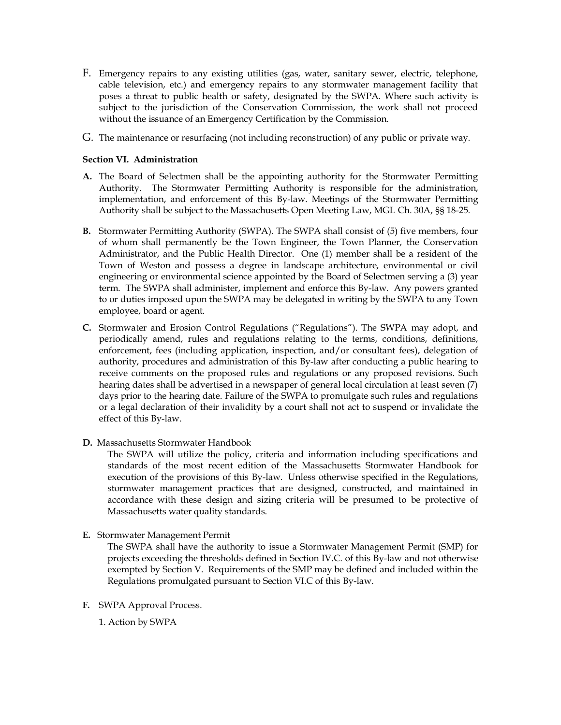- F. Emergency repairs to any existing utilities (gas, water, sanitary sewer, electric, telephone, cable television, etc.) and emergency repairs to any stormwater management facility that poses a threat to public health or safety, designated by the SWPA. Where such activity is subject to the jurisdiction of the Conservation Commission, the work shall not proceed without the issuance of an Emergency Certification by the Commission.
- G. The maintenance or resurfacing (not including reconstruction) of any public or private way.

### **Section VI. Administration**

- **A.** The Board of Selectmen shall be the appointing authority for the Stormwater Permitting Authority. The Stormwater Permitting Authority is responsible for the administration, implementation, and enforcement of this By-law. Meetings of the Stormwater Permitting Authority shall be subject to the Massachusetts Open Meeting Law, MGL Ch. 30A, §§ 18-25.
- **B.** Stormwater Permitting Authority (SWPA). The SWPA shall consist of (5) five members, four of whom shall permanently be the Town Engineer, the Town Planner, the Conservation Administrator, and the Public Health Director. One (1) member shall be a resident of the Town of Weston and possess a degree in landscape architecture, environmental or civil engineering or environmental science appointed by the Board of Selectmen serving a (3) year term. The SWPA shall administer, implement and enforce this By-law. Any powers granted to or duties imposed upon the SWPA may be delegated in writing by the SWPA to any Town employee, board or agent.
- **C.** Stormwater and Erosion Control Regulations ("Regulations"). The SWPA may adopt, and periodically amend, rules and regulations relating to the terms, conditions, definitions, enforcement, fees (including application, inspection, and/or consultant fees), delegation of authority, procedures and administration of this By-law after conducting a public hearing to receive comments on the proposed rules and regulations or any proposed revisions. Such hearing dates shall be advertised in a newspaper of general local circulation at least seven (7) days prior to the hearing date. Failure of the SWPA to promulgate such rules and regulations or a legal declaration of their invalidity by a court shall not act to suspend or invalidate the effect of this By-law.
- **D.** Massachusetts Stormwater Handbook

The SWPA will utilize the policy, criteria and information including specifications and standards of the most recent edition of the Massachusetts Stormwater Handbook for execution of the provisions of this By-law. Unless otherwise specified in the Regulations, stormwater management practices that are designed, constructed, and maintained in accordance with these design and sizing criteria will be presumed to be protective of Massachusetts water quality standards.

**E.** Stormwater Management Permit

The SWPA shall have the authority to issue a Stormwater Management Permit (SMP) for projects exceeding the thresholds defined in Section IV.C. of this By-law and not otherwise exempted by Section V. Requirements of the SMP may be defined and included within the Regulations promulgated pursuant to Section VI.C of this By-law.

**F.** SWPA Approval Process.

1. Action by SWPA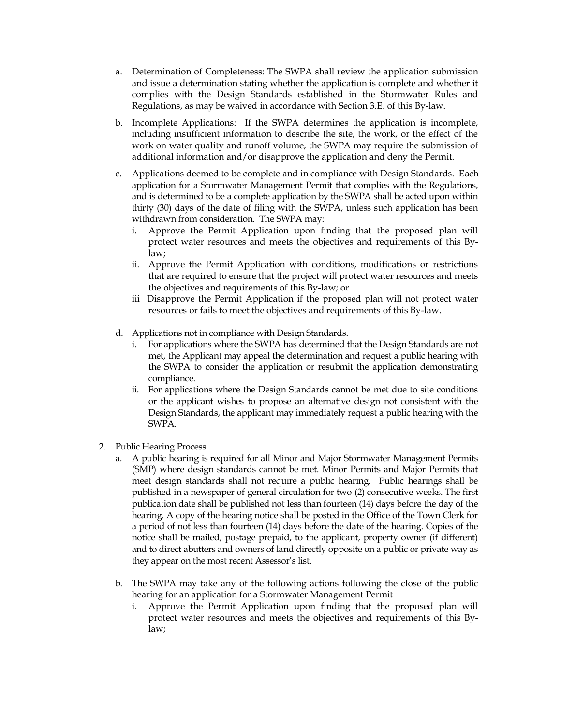- a. Determination of Completeness: The SWPA shall review the application submission and issue a determination stating whether the application is complete and whether it complies with the Design Standards established in the Stormwater Rules and Regulations, as may be waived in accordance with Section 3.E. of this By-law.
- b. Incomplete Applications: If the SWPA determines the application is incomplete, including insufficient information to describe the site, the work, or the effect of the work on water quality and runoff volume, the SWPA may require the submission of additional information and/or disapprove the application and deny the Permit.
- c. Applications deemed to be complete and in compliance with Design Standards. Each application for a Stormwater Management Permit that complies with the Regulations, and is determined to be a complete application by the SWPA shall be acted upon within thirty (30) days of the date of filing with the SWPA, unless such application has been withdrawn from consideration. The SWPA may:
	- i. Approve the Permit Application upon finding that the proposed plan will protect water resources and meets the objectives and requirements of this Bylaw;
	- ii. Approve the Permit Application with conditions, modifications or restrictions that are required to ensure that the project will protect water resources and meets the objectives and requirements of this By-law; or
	- iii Disapprove the Permit Application if the proposed plan will not protect water resources or fails to meet the objectives and requirements of this By-law.
- d. Applications not in compliance with Design Standards.
	- i. For applications where the SWPA has determined that the Design Standards are not met, the Applicant may appeal the determination and request a public hearing with the SWPA to consider the application or resubmit the application demonstrating compliance.
	- ii. For applications where the Design Standards cannot be met due to site conditions or the applicant wishes to propose an alternative design not consistent with the Design Standards, the applicant may immediately request a public hearing with the SWPA.
- 2. Public Hearing Process
	- a. A public hearing is required for all Minor and Major Stormwater Management Permits (SMP) where design standards cannot be met. Minor Permits and Major Permits that meet design standards shall not require a public hearing. Public hearings shall be published in a newspaper of general circulation for two (2) consecutive weeks. The first publication date shall be published not less than fourteen (14) days before the day of the hearing. A copy of the hearing notice shall be posted in the Office of the Town Clerk for a period of not less than fourteen (14) days before the date of the hearing. Copies of the notice shall be mailed, postage prepaid, to the applicant, property owner (if different) and to direct abutters and owners of land directly opposite on a public or private way as they appear on the most recent Assessor's list.
	- b. The SWPA may take any of the following actions following the close of the public hearing for an application for a Stormwater Management Permit
		- i. Approve the Permit Application upon finding that the proposed plan will protect water resources and meets the objectives and requirements of this Bylaw;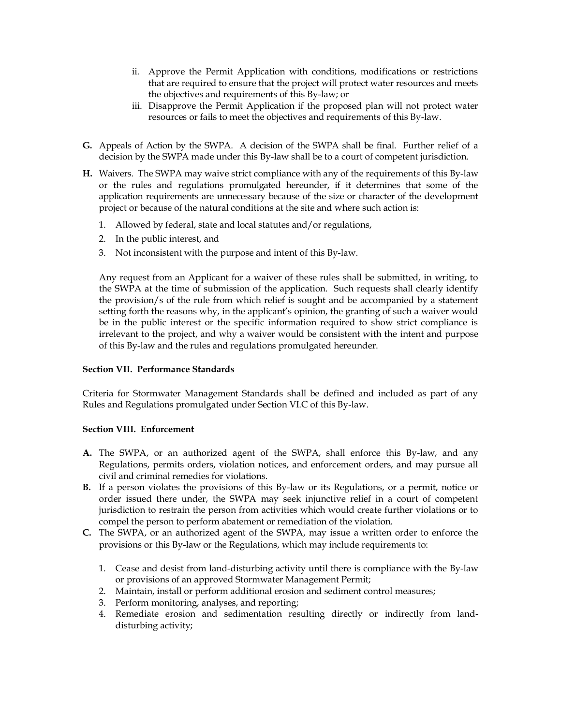- ii. Approve the Permit Application with conditions, modifications or restrictions that are required to ensure that the project will protect water resources and meets the objectives and requirements of this By-law; or
- iii. Disapprove the Permit Application if the proposed plan will not protect water resources or fails to meet the objectives and requirements of this By-law.
- **G.** Appeals of Action by the SWPA. A decision of the SWPA shall be final. Further relief of a decision by the SWPA made under this By-law shall be to a court of competent jurisdiction.
- **H.** Waivers. The SWPA may waive strict compliance with any of the requirement*s* of this By-law or the rules and regulations promulgated hereunder, if it determines that some of the application requirements are unnecessary because of the size or character of the development project or because of the natural conditions at the site and where such action is:
	- 1. Allowed by federal, state and local statutes and/or regulations,
	- 2. In the public interest, and
	- 3. Not inconsistent with the purpose and intent of this By-law.

Any request from an Applicant for a waiver of these rules shall be submitted, in writing, to the SWPA at the time of submission of the application. Such requests shall clearly identify the provision/s of the rule from which relief is sought and be accompanied by a statement setting forth the reasons why, in the applicant's opinion, the granting of such a waiver would be in the public interest or the specific information required to show strict compliance is irrelevant to the project, and why a waiver would be consistent with the intent and purpose of this By-law and the rules and regulations promulgated hereunder.

### **Section VII. Performance Standards**

Criteria for Stormwater Management Standards shall be defined and included as part of any Rules and Regulations promulgated under Section VI.C of this By-law.

### **Section VIII. Enforcement**

- **A.** The SWPA, or an authorized agent of the SWPA, shall enforce this By-law, and any Regulations, permits orders, violation notices, and enforcement orders, and may pursue all civil and criminal remedies for violations.
- **B.** If a person violates the provisions of this By-law or its Regulations, or a permit, notice or order issued there under, the SWPA may seek injunctive relief in a court of competent jurisdiction to restrain the person from activities which would create further violations or to compel the person to perform abatement or remediation of the violation.
- **C.** The SWPA, or an authorized agent of the SWPA, may issue a written order to enforce the provisions or this By-law or the Regulations, which may include requirements to:
	- 1. Cease and desist from land-disturbing activity until there is compliance with the By-law or provisions of an approved Stormwater Management Permit;
	- 2. Maintain, install or perform additional erosion and sediment control measures;
	- 3. Perform monitoring, analyses, and reporting;
	- 4. Remediate erosion and sedimentation resulting directly or indirectly from landdisturbing activity;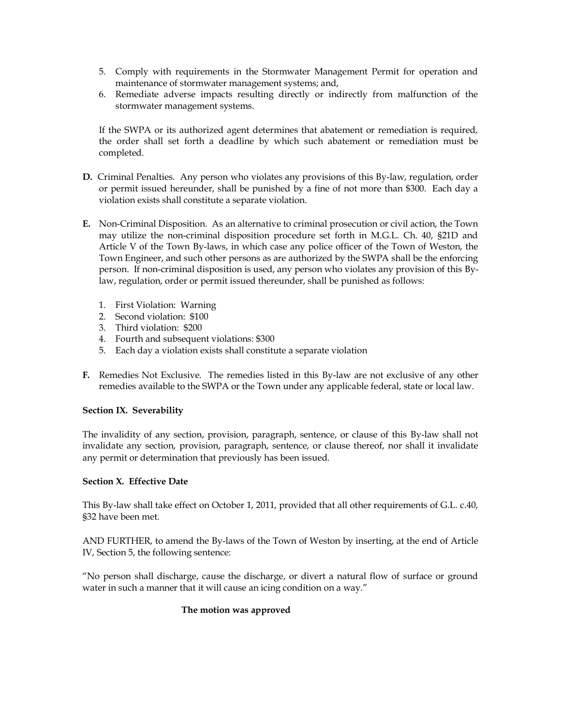- 5. Comply with requirements in the Stormwater Management Permit for operation and maintenance of stormwater management systems; and,
- 6. Remediate adverse impacts resulting directly or indirectly from malfunction of the stormwater management systems.

If the SWPA or its authorized agent determines that abatement or remediation is required, the order shall set forth a deadline by which such abatement or remediation must be completed.

- **D.** Criminal Penalties. Any person who violates any provisions of this By-law, regulation, order or permit issued hereunder, shall be punished by a fine of not more than \$300. Each day a violation exists shall constitute a separate violation.
- **E.** Non-Criminal Disposition. As an alternative to criminal prosecution or civil action, the Town may utilize the non-criminal disposition procedure set forth in M.G.L. Ch. 40, §21D and Article V of the Town By-laws, in which case any police officer of the Town of Weston, the Town Engineer, and such other persons as are authorized by the SWPA shall be the enforcing person. If non-criminal disposition is used, any person who violates any provision of this Bylaw, regulation, order or permit issued thereunder, shall be punished as follows:
	- 1. First Violation: Warning
	- 2. Second violation: \$100
	- 3. Third violation: \$200
	- 4. Fourth and subsequent violations: \$300
	- 5. Each day a violation exists shall constitute a separate violation
- **F.** Remedies Not Exclusive. The remedies listed in this By-law are not exclusive of any other remedies available to the SWPA or the Town under any applicable federal, state or local law.

# **Section IX. Severability**

The invalidity of any section, provision, paragraph, sentence, or clause of this By-law shall not invalidate any section, provision, paragraph, sentence, or clause thereof, nor shall it invalidate any permit or determination that previously has been issued.

# **Section X. Effective Date**

This By-law shall take effect on October 1, 2011, provided that all other requirements of G.L. c.40, §32 have been met.

AND FURTHER, to amend the By-laws of the Town of Weston by inserting, at the end of Article IV, Section 5, the following sentence:

"No person shall discharge, cause the discharge, or divert a natural flow of surface or ground water in such a manner that it will cause an icing condition on a way."

# **The motion was approved**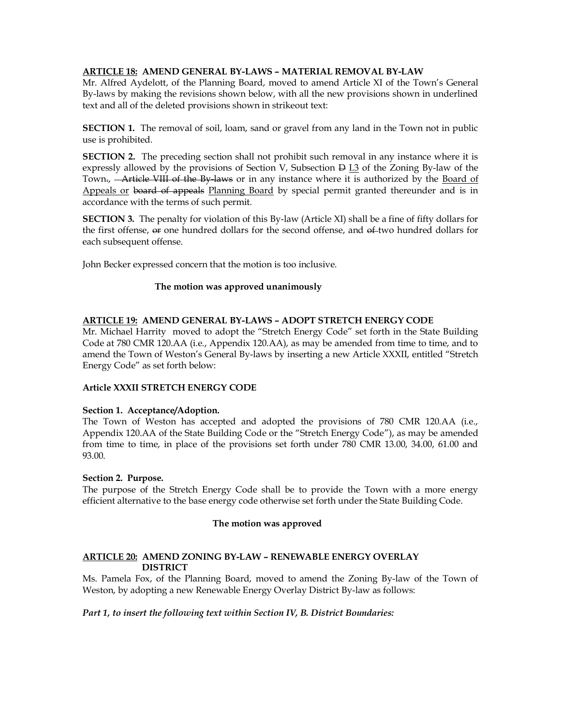## **ARTICLE 18: AMEND GENERAL BY-LAWS – MATERIAL REMOVAL BY-LAW**

Mr. Alfred Aydelott, of the Planning Board, moved to amend Article XI of the Town's General By-laws by making the revisions shown below, with all the new provisions shown in underlined text and all of the deleted provisions shown in strikeout text:

**SECTION 1.** The removal of soil, loam, sand or gravel from any land in the Town not in public use is prohibited.

**SECTION 2.** The preceding section shall not prohibit such removal in any instance where it is expressly allowed by the provisions of Section V, Subsection  $\Theta$  I.3 of the Zoning By-law of the Town., **Article VIII of the By-laws** or in any instance where it is authorized by the Board of Appeals or board of appeals Planning Board by special permit granted thereunder and is in accordance with the terms of such permit.

**SECTION 3.** The penalty for violation of this By-law (Article XI) shall be a fine of fifty dollars for the first offense,  $\sigma$  one hundred dollars for the second offense, and  $\sigma$  two hundred dollars for each subsequent offense.

John Becker expressed concern that the motion is too inclusive.

## **The motion was approved unanimously**

## **ARTICLE 19: AMEND GENERAL BY-LAWS – ADOPT STRETCH ENERGY CODE**

Mr. Michael Harrity moved to adopt the "Stretch Energy Code" set forth in the State Building Code at 780 CMR 120.AA (i.e., Appendix 120.AA), as may be amended from time to time, and to amend the Town of Weston's General By-laws by inserting a new Article XXXII, entitled "Stretch Energy Code" as set forth below:

### **Article XXXII STRETCH ENERGY CODE**

### **Section 1. Acceptance/Adoption.**

The Town of Weston has accepted and adopted the provisions of 780 CMR 120.AA (i.e., Appendix 120.AA of the State Building Code or the "Stretch Energy Code"), as may be amended from time to time, in place of the provisions set forth under 780 CMR 13.00, 34.00, 61.00 and 93.00.

### **Section 2. Purpose.**

The purpose of the Stretch Energy Code shall be to provide the Town with a more energy efficient alternative to the base energy code otherwise set forth under the State Building Code.

# **The motion was approved**

## **ARTICLE 20: AMEND ZONING BY-LAW – RENEWABLE ENERGY OVERLAY DISTRICT**

Ms. Pamela Fox, of the Planning Board, moved to amend the Zoning By-law of the Town of Weston, by adopting a new Renewable Energy Overlay District By-law as follows:

### *Part 1, to insert the following text within Section IV, B. District Boundaries:*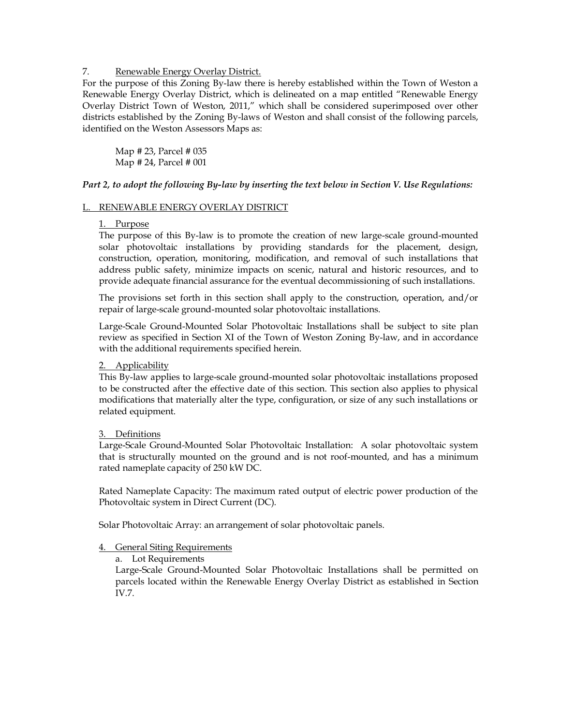### 7. Renewable Energy Overlay District.

For the purpose of this Zoning By-law there is hereby established within the Town of Weston a Renewable Energy Overlay District, which is delineated on a map entitled "Renewable Energy Overlay District Town of Weston, 2011," which shall be considered superimposed over other districts established by the Zoning By-laws of Weston and shall consist of the following parcels, identified on the Weston Assessors Maps as:

Map # 23, Parcel # 035 Map # 24, Parcel # 001

## *Part 2, to adopt the following By-law by inserting the text below in Section V. Use Regulations:*

## L. RENEWABLE ENERGY OVERLAY DISTRICT

### 1. Purpose

The purpose of this By-law is to promote the creation of new large-scale ground-mounted solar photovoltaic installations by providing standards for the placement, design, construction, operation, monitoring, modification, and removal of such installations that address public safety, minimize impacts on scenic, natural and historic resources, and to provide adequate financial assurance for the eventual decommissioning of such installations.

The provisions set forth in this section shall apply to the construction, operation, and/or repair of large-scale ground-mounted solar photovoltaic installations.

Large-Scale Ground-Mounted Solar Photovoltaic Installations shall be subject to site plan review as specified in Section XI of the Town of Weston Zoning By-law, and in accordance with the additional requirements specified herein.

### 2. Applicability

This By-law applies to large-scale ground-mounted solar photovoltaic installations proposed to be constructed after the effective date of this section. This section also applies to physical modifications that materially alter the type, configuration, or size of any such installations or related equipment.

### 3. Definitions

Large-Scale Ground-Mounted Solar Photovoltaic Installation: A solar photovoltaic system that is structurally mounted on the ground and is not roof-mounted, and has a minimum rated nameplate capacity of 250 kW DC.

Rated Nameplate Capacity: The maximum rated output of electric power production of the Photovoltaic system in Direct Current (DC).

Solar Photovoltaic Array: an arrangement of solar photovoltaic panels.

### 4. General Siting Requirements

a. Lot Requirements

Large-Scale Ground-Mounted Solar Photovoltaic Installations shall be permitted on parcels located within the Renewable Energy Overlay District as established in Section IV.7.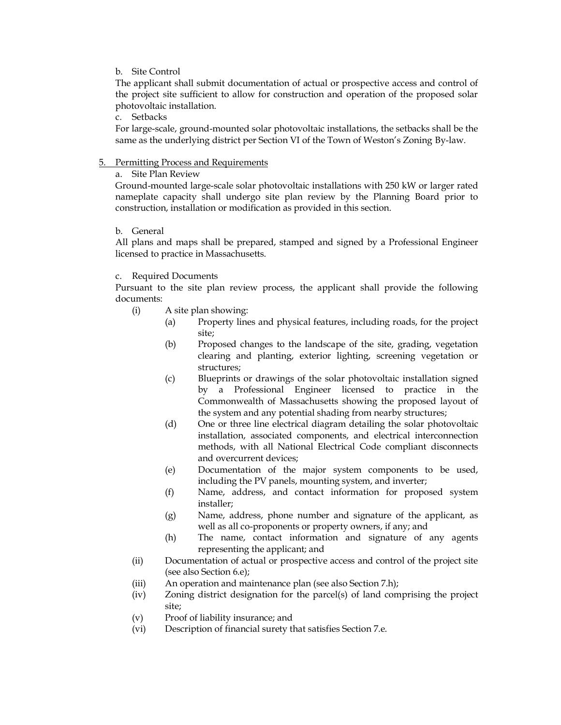### b. Site Control

The applicant shall submit documentation of actual or prospective access and control of the project site sufficient to allow for construction and operation of the proposed solar photovoltaic installation.

c. Setbacks

For large-scale, ground-mounted solar photovoltaic installations, the setbacks shall be the same as the underlying district per Section VI of the Town of Weston's Zoning By-law.

## 5. Permitting Process and Requirements

# a. Site Plan Review

Ground-mounted large-scale solar photovoltaic installations with 250 kW or larger rated nameplate capacity shall undergo site plan review by the Planning Board prior to construction, installation or modification as provided in this section.

## b. General

All plans and maps shall be prepared, stamped and signed by a Professional Engineer licensed to practice in Massachusetts.

## c. Required Documents

Pursuant to the site plan review process, the applicant shall provide the following documents:

- (i) A site plan showing:
	- (a) Property lines and physical features, including roads, for the project site;
	- (b) Proposed changes to the landscape of the site, grading, vegetation clearing and planting, exterior lighting, screening vegetation or structures;
	- (c) Blueprints or drawings of the solar photovoltaic installation signed by a Professional Engineer licensed to practice in the Commonwealth of Massachusetts showing the proposed layout of the system and any potential shading from nearby structures;
	- (d) One or three line electrical diagram detailing the solar photovoltaic installation, associated components, and electrical interconnection methods, with all National Electrical Code compliant disconnects and overcurrent devices;
	- (e) Documentation of the major system components to be used, including the PV panels, mounting system, and inverter;
	- (f) Name, address, and contact information for proposed system installer;
	- (g) Name, address, phone number and signature of the applicant, as well as all co-proponents or property owners, if any; and
	- (h) The name, contact information and signature of any agents representing the applicant; and
- (ii) Documentation of actual or prospective access and control of the project site (see also Section 6.e);
- (iii) An operation and maintenance plan (see also Section 7.h);
- (iv) Zoning district designation for the parcel(s) of land comprising the project site;
- (v) Proof of liability insurance; and
- (vi) Description of financial surety that satisfies Section 7.e.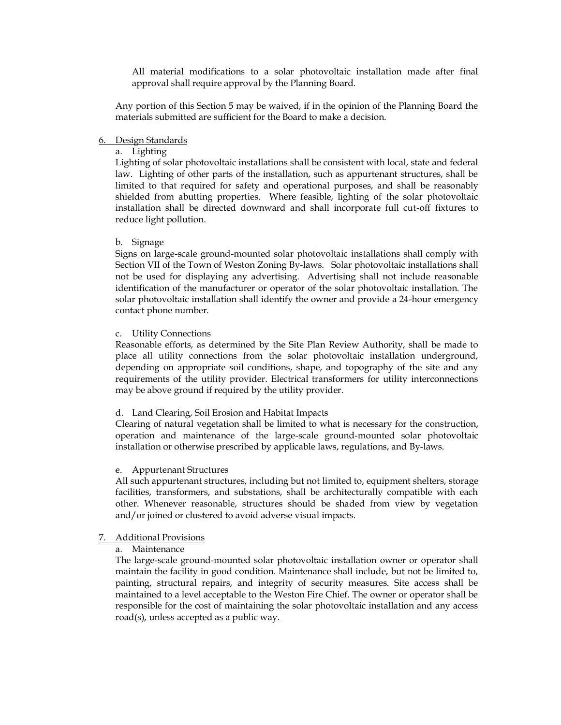All material modifications to a solar photovoltaic installation made after final approval shall require approval by the Planning Board.

Any portion of this Section 5 may be waived, if in the opinion of the Planning Board the materials submitted are sufficient for the Board to make a decision.

#### 6. Design Standards

# a. Lighting

Lighting of solar photovoltaic installations shall be consistent with local, state and federal law. Lighting of other parts of the installation, such as appurtenant structures, shall be limited to that required for safety and operational purposes, and shall be reasonably shielded from abutting properties. Where feasible, lighting of the solar photovoltaic installation shall be directed downward and shall incorporate full cut-off fixtures to reduce light pollution.

#### b. Signage

Signs on large-scale ground-mounted solar photovoltaic installations shall comply with Section VII of the Town of Weston Zoning By-laws. Solar photovoltaic installations shall not be used for displaying any advertising. Advertising shall not include reasonable identification of the manufacturer or operator of the solar photovoltaic installation. The solar photovoltaic installation shall identify the owner and provide a 24-hour emergency contact phone number.

#### c. Utility Connections

Reasonable efforts, as determined by the Site Plan Review Authority, shall be made to place all utility connections from the solar photovoltaic installation underground, depending on appropriate soil conditions, shape, and topography of the site and any requirements of the utility provider. Electrical transformers for utility interconnections may be above ground if required by the utility provider.

#### d. Land Clearing, Soil Erosion and Habitat Impacts

Clearing of natural vegetation shall be limited to what is necessary for the construction, operation and maintenance of the large-scale ground-mounted solar photovoltaic installation or otherwise prescribed by applicable laws, regulations, and By-laws.

#### e. Appurtenant Structures

All such appurtenant structures, including but not limited to, equipment shelters, storage facilities, transformers, and substations, shall be architecturally compatible with each other. Whenever reasonable, structures should be shaded from view by vegetation and/or joined or clustered to avoid adverse visual impacts.

#### 7. Additional Provisions

### a. Maintenance

The large-scale ground-mounted solar photovoltaic installation owner or operator shall maintain the facility in good condition. Maintenance shall include, but not be limited to, painting, structural repairs, and integrity of security measures. Site access shall be maintained to a level acceptable to the Weston Fire Chief. The owner or operator shall be responsible for the cost of maintaining the solar photovoltaic installation and any access road(s), unless accepted as a public way.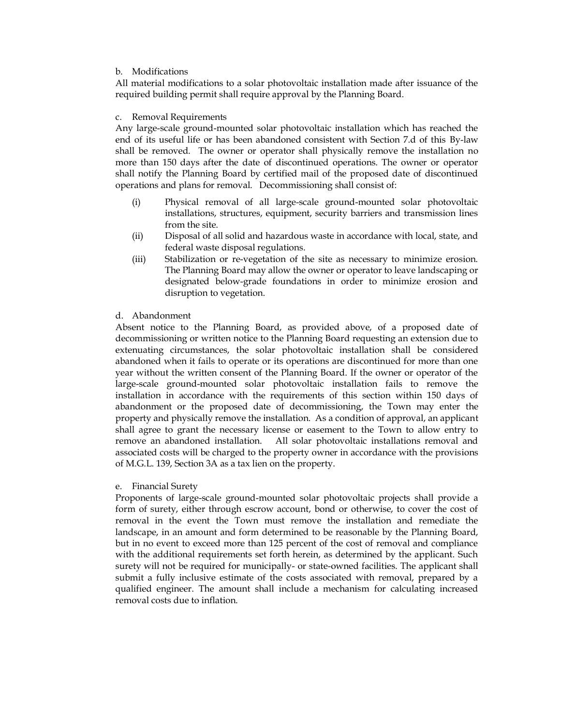### b. Modifications

All material modifications to a solar photovoltaic installation made after issuance of the required building permit shall require approval by the Planning Board.

#### c. Removal Requirements

Any large-scale ground-mounted solar photovoltaic installation which has reached the end of its useful life or has been abandoned consistent with Section 7.d of this By-law shall be removed. The owner or operator shall physically remove the installation no more than 150 days after the date of discontinued operations. The owner or operator shall notify the Planning Board by certified mail of the proposed date of discontinued operations and plans for removal. Decommissioning shall consist of:

- (i) Physical removal of all large-scale ground-mounted solar photovoltaic installations, structures, equipment, security barriers and transmission lines from the site.
- (ii) Disposal of all solid and hazardous waste in accordance with local, state, and federal waste disposal regulations.
- (iii) Stabilization or re-vegetation of the site as necessary to minimize erosion. The Planning Board may allow the owner or operator to leave landscaping or designated below-grade foundations in order to minimize erosion and disruption to vegetation.

### d. Abandonment

Absent notice to the Planning Board, as provided above, of a proposed date of decommissioning or written notice to the Planning Board requesting an extension due to extenuating circumstances, the solar photovoltaic installation shall be considered abandoned when it fails to operate or its operations are discontinued for more than one year without the written consent of the Planning Board. If the owner or operator of the large-scale ground-mounted solar photovoltaic installation fails to remove the installation in accordance with the requirements of this section within 150 days of abandonment or the proposed date of decommissioning, the Town may enter the property and physically remove the installation. As a condition of approval, an applicant shall agree to grant the necessary license or easement to the Town to allow entry to remove an abandoned installation. All solar photovoltaic installations removal and associated costs will be charged to the property owner in accordance with the provisions of M.G.L. 139, Section 3A as a tax lien on the property.

### e. Financial Surety

Proponents of large-scale ground-mounted solar photovoltaic projects shall provide a form of surety, either through escrow account, bond or otherwise, to cover the cost of removal in the event the Town must remove the installation and remediate the landscape, in an amount and form determined to be reasonable by the Planning Board, but in no event to exceed more than 125 percent of the cost of removal and compliance with the additional requirements set forth herein, as determined by the applicant. Such surety will not be required for municipally- or state-owned facilities. The applicant shall submit a fully inclusive estimate of the costs associated with removal, prepared by a qualified engineer. The amount shall include a mechanism for calculating increased removal costs due to inflation.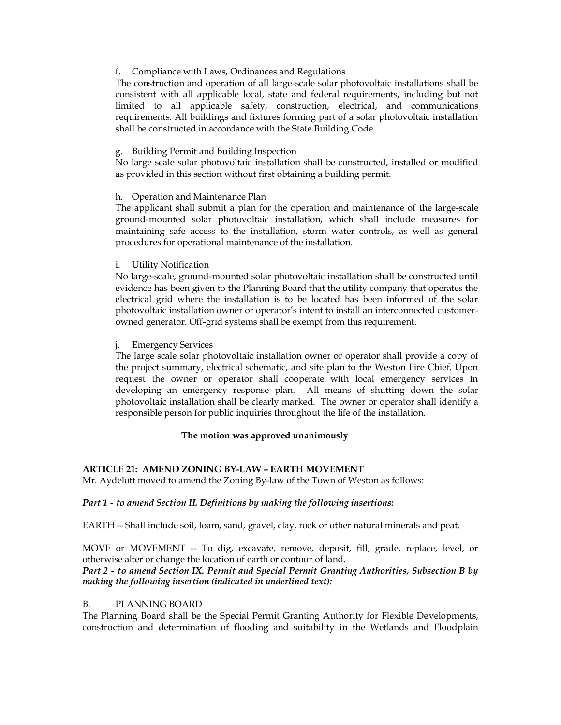## f. Compliance with Laws, Ordinances and Regulations

The construction and operation of all large-scale solar photovoltaic installations shall be consistent with all applicable local, state and federal requirements, including but not limited to all applicable safety, construction, electrical, and communications requirements. All buildings and fixtures forming part of a solar photovoltaic installation shall be constructed in accordance with the State Building Code.

# g. Building Permit and Building Inspection

No large scale solar photovoltaic installation shall be constructed, installed or modified as provided in this section without first obtaining a building permit.

## h. Operation and Maintenance Plan

The applicant shall submit a plan for the operation and maintenance of the large-scale ground-mounted solar photovoltaic installation, which shall include measures for maintaining safe access to the installation, storm water controls, as well as general procedures for operational maintenance of the installation.

## i. Utility Notification

No large-scale, ground-mounted solar photovoltaic installation shall be constructed until evidence has been given to the Planning Board that the utility company that operates the electrical grid where the installation is to be located has been informed of the solar photovoltaic installation owner or operator's intent to install an interconnected customerowned generator. Off-grid systems shall be exempt from this requirement.

## **Emergency Services**

The large scale solar photovoltaic installation owner or operator shall provide a copy of the project summary, electrical schematic, and site plan to the Weston Fire Chief. Upon request the owner or operator shall cooperate with local emergency services in developing an emergency response plan. All means of shutting down the solar photovoltaic installation shall be clearly marked. The owner or operator shall identify a responsible person for public inquiries throughout the life of the installation.

# **The motion was approved unanimously**

# **ARTICLE 21: AMEND ZONING BY-LAW – EARTH MOVEMENT**

Mr. Aydelott moved to amend the Zoning By-law of the Town of Weston as follows:

### *Part 1 - to amend Section II. Definitions by making the following insertions:*

EARTH -- Shall include soil, loam, sand, gravel, clay, rock or other natural minerals and peat.

MOVE or MOVEMENT -- To dig, excavate, remove, deposit, fill, grade, replace, level, or otherwise alter or change the location of earth or contour of land.

# *Part 2 - to amend Section IX. Permit and Special Permit Granting Authorities, Subsection B by making the following insertion (indicated in underlined text):*

### B. PLANNING BOARD

The Planning Board shall be the Special Permit Granting Authority for Flexible Developments, construction and determination of flooding and suitability in the Wetlands and Floodplain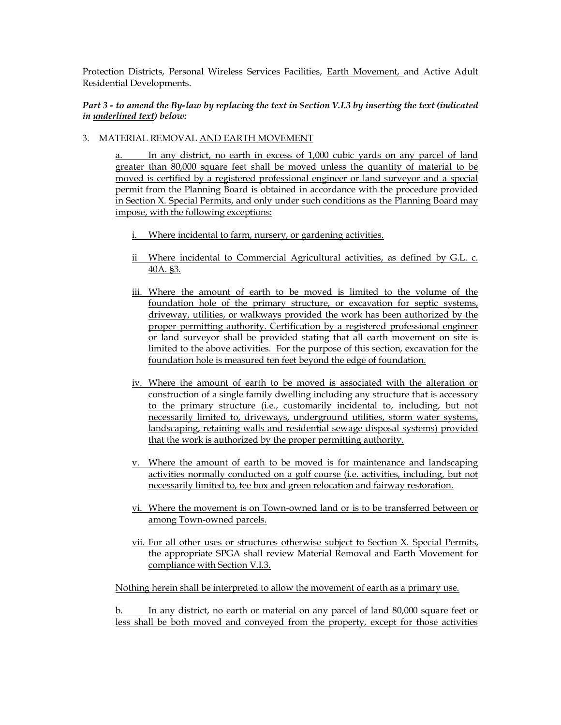Protection Districts, Personal Wireless Services Facilities, Earth Movement, and Active Adult Residential Developments.

## *Part 3 - to amend the By-law by replacing the text in Section V.I.3 by inserting the text (indicated in underlined text) below:*

# 3. MATERIAL REMOVAL AND EARTH MOVEMENT

a. In any district, no earth in excess of 1,000 cubic yards on any parcel of land greater than 80,000 square feet shall be moved unless the quantity of material to be moved is certified by a registered professional engineer or land surveyor and a special permit from the Planning Board is obtained in accordance with the procedure provided in Section X. Special Permits, and only under such conditions as the Planning Board may impose, with the following exceptions:

- i. Where incidental to farm, nursery, or gardening activities.
- ii Where incidental to Commercial Agricultural activities, as defined by G.L. c. 40A. §3.
- iii. Where the amount of earth to be moved is limited to the volume of the foundation hole of the primary structure, or excavation for septic systems, driveway, utilities, or walkways provided the work has been authorized by the proper permitting authority. Certification by a registered professional engineer or land surveyor shall be provided stating that all earth movement on site is limited to the above activities. For the purpose of this section, excavation for the foundation hole is measured ten feet beyond the edge of foundation.
- iv. Where the amount of earth to be moved is associated with the alteration or construction of a single family dwelling including any structure that is accessory to the primary structure (i.e., customarily incidental to, including, but not necessarily limited to, driveways, underground utilities, storm water systems, landscaping, retaining walls and residential sewage disposal systems) provided that the work is authorized by the proper permitting authority.
- v. Where the amount of earth to be moved is for maintenance and landscaping activities normally conducted on a golf course (i.e. activities, including, but not necessarily limited to, tee box and green relocation and fairway restoration.
- vi. Where the movement is on Town-owned land or is to be transferred between or among Town-owned parcels.
- vii. For all other uses or structures otherwise subject to Section X. Special Permits, the appropriate SPGA shall review Material Removal and Earth Movement for compliance with Section V.I.3.

Nothing herein shall be interpreted to allow the movement of earth as a primary use.

b. In any district, no earth or material on any parcel of land 80,000 square feet or less shall be both moved and conveyed from the property, except for those activities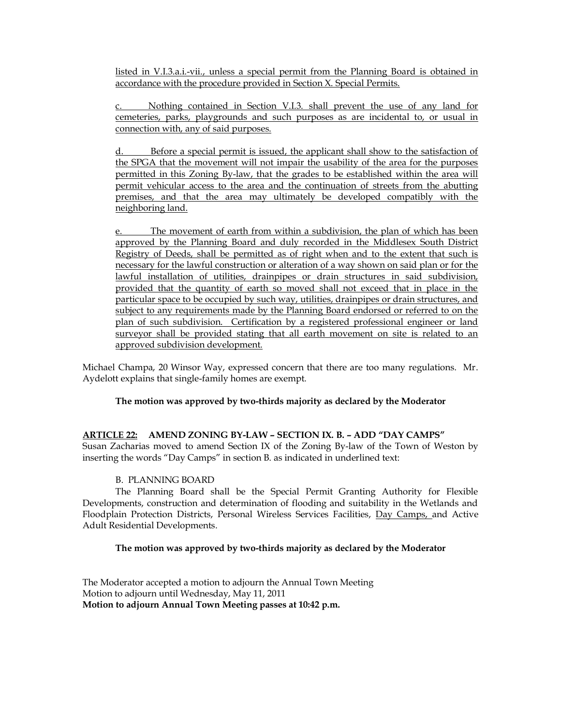listed in V.I.3.a.i.-vii., unless a special permit from the Planning Board is obtained in accordance with the procedure provided in Section X. Special Permits.

Nothing contained in Section V.I.3. shall prevent the use of any land for cemeteries, parks, playgrounds and such purposes as are incidental to, or usual in connection with, any of said purposes.

Before a special permit is issued, the applicant shall show to the satisfaction of the SPGA that the movement will not impair the usability of the area for the purposes permitted in this Zoning By-law, that the grades to be established within the area will permit vehicular access to the area and the continuation of streets from the abutting premises, and that the area may ultimately be developed compatibly with the neighboring land.

e. The movement of earth from within a subdivision, the plan of which has been approved by the Planning Board and duly recorded in the Middlesex South District Registry of Deeds, shall be permitted as of right when and to the extent that such is necessary for the lawful construction or alteration of a way shown on said plan or for the lawful installation of utilities, drainpipes or drain structures in said subdivision, provided that the quantity of earth so moved shall not exceed that in place in the particular space to be occupied by such way, utilities, drainpipes or drain structures, and subject to any requirements made by the Planning Board endorsed or referred to on the plan of such subdivision. Certification by a registered professional engineer or land surveyor shall be provided stating that all earth movement on site is related to an approved subdivision development.

Michael Champa, 20 Winsor Way, expressed concern that there are too many regulations. Mr. Aydelott explains that single-family homes are exempt.

# **The motion was approved by two-thirds majority as declared by the Moderator**

# **ARTICLE 22: AMEND ZONING BY-LAW – SECTION IX. B. – ADD "DAY CAMPS"** Susan Zacharias moved to amend Section IX of the Zoning By-law of the Town of Weston by inserting the words "Day Camps" in section B. as indicated in underlined text:

# B. PLANNING BOARD

The Planning Board shall be the Special Permit Granting Authority for Flexible Developments, construction and determination of flooding and suitability in the Wetlands and Floodplain Protection Districts, Personal Wireless Services Facilities, Day Camps, and Active Adult Residential Developments.

### **The motion was approved by two-thirds majority as declared by the Moderator**

The Moderator accepted a motion to adjourn the Annual Town Meeting Motion to adjourn until Wednesday, May 11, 2011 **Motion to adjourn Annual Town Meeting passes at 10:42 p.m.**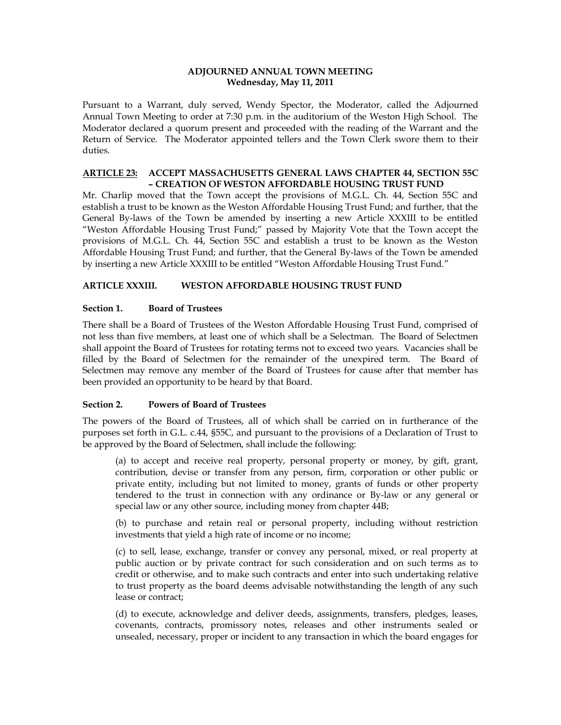### **ADJOURNED ANNUAL TOWN MEETING Wednesday, May 11, 2011**

Pursuant to a Warrant, duly served, Wendy Spector, the Moderator, called the Adjourned Annual Town Meeting to order at 7:30 p.m. in the auditorium of the Weston High School. The Moderator declared a quorum present and proceeded with the reading of the Warrant and the Return of Service. The Moderator appointed tellers and the Town Clerk swore them to their duties.

### **ARTICLE 23: ACCEPT MASSACHUSETTS GENERAL LAWS CHAPTER 44, SECTION 55C – CREATION OF WESTON AFFORDABLE HOUSING TRUST FUND**

Mr. Charlip moved that the Town accept the provisions of M.G.L. Ch. 44, Section 55C and establish a trust to be known as the Weston Affordable Housing Trust Fund; and further, that the General By-laws of the Town be amended by inserting a new Article XXXIII to be entitled "Weston Affordable Housing Trust Fund;" passed by Majority Vote that the Town accept the provisions of M.G.L. Ch. 44, Section 55C and establish a trust to be known as the Weston Affordable Housing Trust Fund; and further, that the General By-laws of the Town be amended by inserting a new Article XXXIII to be entitled "Weston Affordable Housing Trust Fund."

## **ARTICLE XXXIII. WESTON AFFORDABLE HOUSING TRUST FUND**

## **Section 1. Board of Trustees**

There shall be a Board of Trustees of the Weston Affordable Housing Trust Fund, comprised of not less than five members, at least one of which shall be a Selectman. The Board of Selectmen shall appoint the Board of Trustees for rotating terms not to exceed two years. Vacancies shall be filled by the Board of Selectmen for the remainder of the unexpired term. The Board of Selectmen may remove any member of the Board of Trustees for cause after that member has been provided an opportunity to be heard by that Board.

### **Section 2. Powers of Board of Trustees**

The powers of the Board of Trustees, all of which shall be carried on in furtherance of the purposes set forth in G.L. c.44, §55C, and pursuant to the provisions of a Declaration of Trust to be approved by the Board of Selectmen, shall include the following:

(a) to accept and receive real property, personal property or money, by gift, grant, contribution, devise or transfer from any person, firm, corporation or other public or private entity, including but not limited to money, grants of funds or other property tendered to the trust in connection with any ordinance or By-law or any general or special law or any other source, including money from chapter 44B;

(b) to purchase and retain real or personal property, including without restriction investments that yield a high rate of income or no income;

(c) to sell, lease, exchange, transfer or convey any personal, mixed, or real property at public auction or by private contract for such consideration and on such terms as to credit or otherwise, and to make such contracts and enter into such undertaking relative to trust property as the board deems advisable notwithstanding the length of any such lease or contract;

(d) to execute, acknowledge and deliver deeds, assignments, transfers, pledges, leases, covenants, contracts, promissory notes, releases and other instruments sealed or unsealed, necessary, proper or incident to any transaction in which the board engages for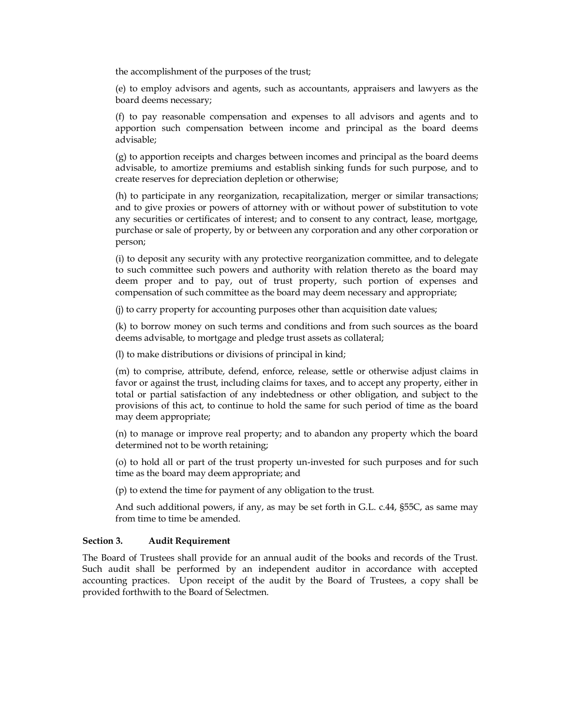the accomplishment of the purposes of the trust;

(e) to employ advisors and agents, such as accountants, appraisers and lawyers as the board deems necessary;

(f) to pay reasonable compensation and expenses to all advisors and agents and to apportion such compensation between income and principal as the board deems advisable;

(g) to apportion receipts and charges between incomes and principal as the board deems advisable, to amortize premiums and establish sinking funds for such purpose, and to create reserves for depreciation depletion or otherwise;

(h) to participate in any reorganization, recapitalization, merger or similar transactions; and to give proxies or powers of attorney with or without power of substitution to vote any securities or certificates of interest; and to consent to any contract, lease, mortgage, purchase or sale of property, by or between any corporation and any other corporation or person;

(i) to deposit any security with any protective reorganization committee, and to delegate to such committee such powers and authority with relation thereto as the board may deem proper and to pay, out of trust property, such portion of expenses and compensation of such committee as the board may deem necessary and appropriate;

(j) to carry property for accounting purposes other than acquisition date values;

(k) to borrow money on such terms and conditions and from such sources as the board deems advisable, to mortgage and pledge trust assets as collateral;

(l) to make distributions or divisions of principal in kind;

(m) to comprise, attribute, defend, enforce, release, settle or otherwise adjust claims in favor or against the trust, including claims for taxes, and to accept any property, either in total or partial satisfaction of any indebtedness or other obligation, and subject to the provisions of this act, to continue to hold the same for such period of time as the board may deem appropriate;

(n) to manage or improve real property; and to abandon any property which the board determined not to be worth retaining;

(o) to hold all or part of the trust property un-invested for such purposes and for such time as the board may deem appropriate; and

(p) to extend the time for payment of any obligation to the trust.

And such additional powers, if any, as may be set forth in G.L. c.44, §55C, as same may from time to time be amended.

### **Section 3. Audit Requirement**

The Board of Trustees shall provide for an annual audit of the books and records of the Trust. Such audit shall be performed by an independent auditor in accordance with accepted accounting practices. Upon receipt of the audit by the Board of Trustees, a copy shall be provided forthwith to the Board of Selectmen.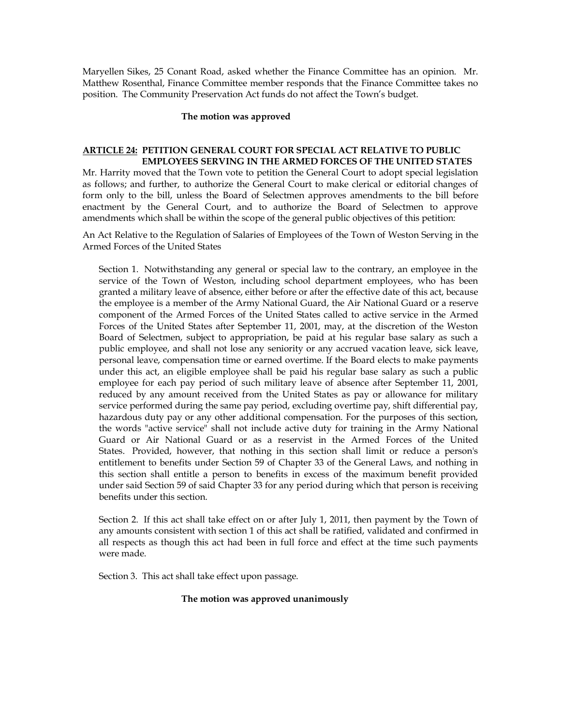Maryellen Sikes, 25 Conant Road, asked whether the Finance Committee has an opinion. Mr. Matthew Rosenthal, Finance Committee member responds that the Finance Committee takes no position. The Community Preservation Act funds do not affect the Town's budget.

### **The motion was approved**

### **ARTICLE 24: PETITION GENERAL COURT FOR SPECIAL ACT RELATIVE TO PUBLIC EMPLOYEES SERVING IN THE ARMED FORCES OF THE UNITED STATES**

Mr. Harrity moved that the Town vote to petition the General Court to adopt special legislation as follows; and further, to authorize the General Court to make clerical or editorial changes of form only to the bill, unless the Board of Selectmen approves amendments to the bill before enactment by the General Court, and to authorize the Board of Selectmen to approve amendments which shall be within the scope of the general public objectives of this petition:

An Act Relative to the Regulation of Salaries of Employees of the Town of Weston Serving in the Armed Forces of the United States

Section 1. Notwithstanding any general or special law to the contrary, an employee in the service of the Town of Weston, including school department employees, who has been granted a military leave of absence, either before or after the effective date of this act, because the employee is a member of the Army National Guard, the Air National Guard or a reserve component of the Armed Forces of the United States called to active service in the Armed Forces of the United States after September 11, 2001, may, at the discretion of the Weston Board of Selectmen, subject to appropriation, be paid at his regular base salary as such a public employee, and shall not lose any seniority or any accrued vacation leave, sick leave, personal leave, compensation time or earned overtime. If the Board elects to make payments under this act, an eligible employee shall be paid his regular base salary as such a public employee for each pay period of such military leave of absence after September 11, 2001, reduced by any amount received from the United States as pay or allowance for military service performed during the same pay period, excluding overtime pay, shift differential pay, hazardous duty pay or any other additional compensation. For the purposes of this section, the words "active service" shall not include active duty for training in the Army National Guard or Air National Guard or as a reservist in the Armed Forces of the United States. Provided, however, that nothing in this section shall limit or reduce a person's entitlement to benefits under Section 59 of Chapter 33 of the General Laws, and nothing in this section shall entitle a person to benefits in excess of the maximum benefit provided under said Section 59 of said Chapter 33 for any period during which that person is receiving benefits under this section.

Section 2. If this act shall take effect on or after July 1, 2011, then payment by the Town of any amounts consistent with section 1 of this act shall be ratified, validated and confirmed in all respects as though this act had been in full force and effect at the time such payments were made.

Section 3. This act shall take effect upon passage.

### **The motion was approved unanimously**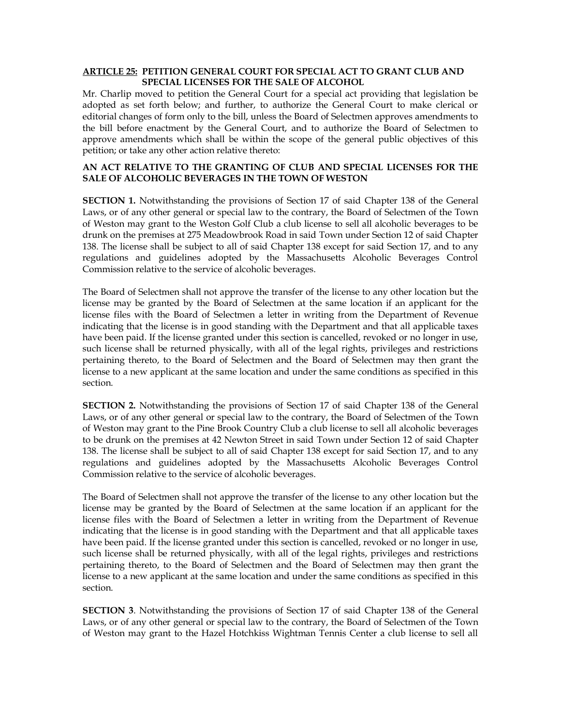## **ARTICLE 25: PETITION GENERAL COURT FOR SPECIAL ACT TO GRANT CLUB AND SPECIAL LICENSES FOR THE SALE OF ALCOHOL**

Mr. Charlip moved to petition the General Court for a special act providing that legislation be adopted as set forth below; and further, to authorize the General Court to make clerical or editorial changes of form only to the bill, unless the Board of Selectmen approves amendments to the bill before enactment by the General Court, and to authorize the Board of Selectmen to approve amendments which shall be within the scope of the general public objectives of this petition; or take any other action relative thereto:

### **AN ACT RELATIVE TO THE GRANTING OF CLUB AND SPECIAL LICENSES FOR THE SALE OF ALCOHOLIC BEVERAGES IN THE TOWN OF WESTON**

**SECTION 1.** Notwithstanding the provisions of Section 17 of said Chapter 138 of the General Laws, or of any other general or special law to the contrary, the Board of Selectmen of the Town of Weston may grant to the Weston Golf Club a club license to sell all alcoholic beverages to be drunk on the premises at 275 Meadowbrook Road in said Town under Section 12 of said Chapter 138. The license shall be subject to all of said Chapter 138 except for said Section 17, and to any regulations and guidelines adopted by the Massachusetts Alcoholic Beverages Control Commission relative to the service of alcoholic beverages.

The Board of Selectmen shall not approve the transfer of the license to any other location but the license may be granted by the Board of Selectmen at the same location if an applicant for the license files with the Board of Selectmen a letter in writing from the Department of Revenue indicating that the license is in good standing with the Department and that all applicable taxes have been paid. If the license granted under this section is cancelled, revoked or no longer in use, such license shall be returned physically, with all of the legal rights, privileges and restrictions pertaining thereto, to the Board of Selectmen and the Board of Selectmen may then grant the license to a new applicant at the same location and under the same conditions as specified in this section.

**SECTION 2.** Notwithstanding the provisions of Section 17 of said Chapter 138 of the General Laws, or of any other general or special law to the contrary, the Board of Selectmen of the Town of Weston may grant to the Pine Brook Country Club a club license to sell all alcoholic beverages to be drunk on the premises at 42 Newton Street in said Town under Section 12 of said Chapter 138. The license shall be subject to all of said Chapter 138 except for said Section 17, and to any regulations and guidelines adopted by the Massachusetts Alcoholic Beverages Control Commission relative to the service of alcoholic beverages.

The Board of Selectmen shall not approve the transfer of the license to any other location but the license may be granted by the Board of Selectmen at the same location if an applicant for the license files with the Board of Selectmen a letter in writing from the Department of Revenue indicating that the license is in good standing with the Department and that all applicable taxes have been paid. If the license granted under this section is cancelled, revoked or no longer in use, such license shall be returned physically, with all of the legal rights, privileges and restrictions pertaining thereto, to the Board of Selectmen and the Board of Selectmen may then grant the license to a new applicant at the same location and under the same conditions as specified in this section.

**SECTION 3**. Notwithstanding the provisions of Section 17 of said Chapter 138 of the General Laws, or of any other general or special law to the contrary, the Board of Selectmen of the Town of Weston may grant to the Hazel Hotchkiss Wightman Tennis Center a club license to sell all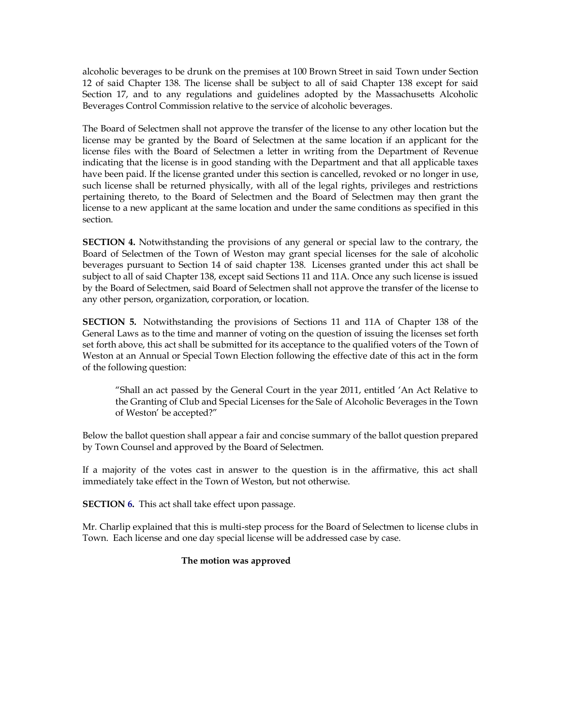alcoholic beverages to be drunk on the premises at 100 Brown Street in said Town under Section 12 of said Chapter 138. The license shall be subject to all of said Chapter 138 except for said Section 17, and to any regulations and guidelines adopted by the Massachusetts Alcoholic Beverages Control Commission relative to the service of alcoholic beverages.

The Board of Selectmen shall not approve the transfer of the license to any other location but the license may be granted by the Board of Selectmen at the same location if an applicant for the license files with the Board of Selectmen a letter in writing from the Department of Revenue indicating that the license is in good standing with the Department and that all applicable taxes have been paid. If the license granted under this section is cancelled, revoked or no longer in use, such license shall be returned physically, with all of the legal rights, privileges and restrictions pertaining thereto, to the Board of Selectmen and the Board of Selectmen may then grant the license to a new applicant at the same location and under the same conditions as specified in this section.

**SECTION 4.** Notwithstanding the provisions of any general or special law to the contrary, the Board of Selectmen of the Town of Weston may grant special licenses for the sale of alcoholic beverages pursuant to Section 14 of said chapter 138. Licenses granted under this act shall be subject to all of said Chapter 138, except said Sections 11 and 11A. Once any such license is issued by the Board of Selectmen, said Board of Selectmen shall not approve the transfer of the license to any other person, organization, corporation, or location.

**SECTION 5.** Notwithstanding the provisions of Sections 11 and 11A of Chapter 138 of the General Laws as to the time and manner of voting on the question of issuing the licenses set forth set forth above, this act shall be submitted for its acceptance to the qualified voters of the Town of Weston at an Annual or Special Town Election following the effective date of this act in the form of the following question:

"Shall an act passed by the General Court in the year 2011, entitled 'An Act Relative to the Granting of Club and Special Licenses for the Sale of Alcoholic Beverages in the Town of Weston' be accepted?"

Below the ballot question shall appear a fair and concise summary of the ballot question prepared by Town Counsel and approved by the Board of Selectmen.

If a majority of the votes cast in answer to the question is in the affirmative, this act shall immediately take effect in the Town of Weston, but not otherwise.

**SECTION 6.** This act shall take effect upon passage.

Mr. Charlip explained that this is multi-step process for the Board of Selectmen to license clubs in Town. Each license and one day special license will be addressed case by case.

### **The motion was approved**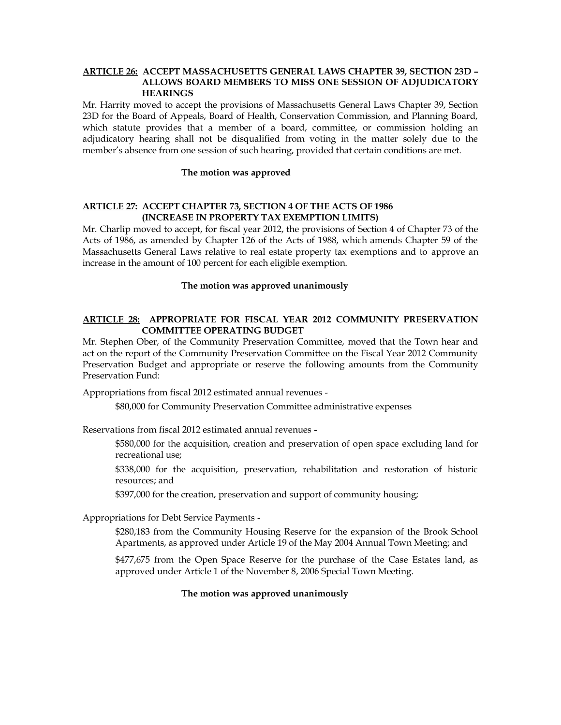### **ARTICLE 26: ACCEPT MASSACHUSETTS GENERAL LAWS CHAPTER 39, SECTION 23D – ALLOWS BOARD MEMBERS TO MISS ONE SESSION OF ADJUDICATORY HEARINGS**

Mr. Harrity moved to accept the provisions of Massachusetts General Laws Chapter 39, Section 23D for the Board of Appeals, Board of Health, Conservation Commission, and Planning Board, which statute provides that a member of a board, committee, or commission holding an adjudicatory hearing shall not be disqualified from voting in the matter solely due to the member's absence from one session of such hearing, provided that certain conditions are met.

#### **The motion was approved**

#### **ARTICLE 27: ACCEPT CHAPTER 73, SECTION 4 OF THE ACTS OF 1986 (INCREASE IN PROPERTY TAX EXEMPTION LIMITS)**

Mr. Charlip moved to accept, for fiscal year 2012, the provisions of Section 4 of Chapter 73 of the Acts of 1986, as amended by Chapter 126 of the Acts of 1988, which amends Chapter 59 of the Massachusetts General Laws relative to real estate property tax exemptions and to approve an increase in the amount of 100 percent for each eligible exemption.

#### **The motion was approved unanimously**

### **ARTICLE 28: APPROPRIATE FOR FISCAL YEAR 2012 COMMUNITY PRESERVATION COMMITTEE OPERATING BUDGET**

Mr. Stephen Ober, of the Community Preservation Committee, moved that the Town hear and act on the report of the Community Preservation Committee on the Fiscal Year 2012 Community Preservation Budget and appropriate or reserve the following amounts from the Community Preservation Fund:

Appropriations from fiscal 2012 estimated annual revenues -

\$80,000 for Community Preservation Committee administrative expenses

Reservations from fiscal 2012 estimated annual revenues -

\$580,000 for the acquisition, creation and preservation of open space excluding land for recreational use;

\$338,000 for the acquisition, preservation, rehabilitation and restoration of historic resources; and

\$397,000 for the creation, preservation and support of community housing;

Appropriations for Debt Service Payments -

\$280,183 from the Community Housing Reserve for the expansion of the Brook School Apartments, as approved under Article 19 of the May 2004 Annual Town Meeting; and

\$477,675 from the Open Space Reserve for the purchase of the Case Estates land, as approved under Article 1 of the November 8, 2006 Special Town Meeting.

### **The motion was approved unanimously**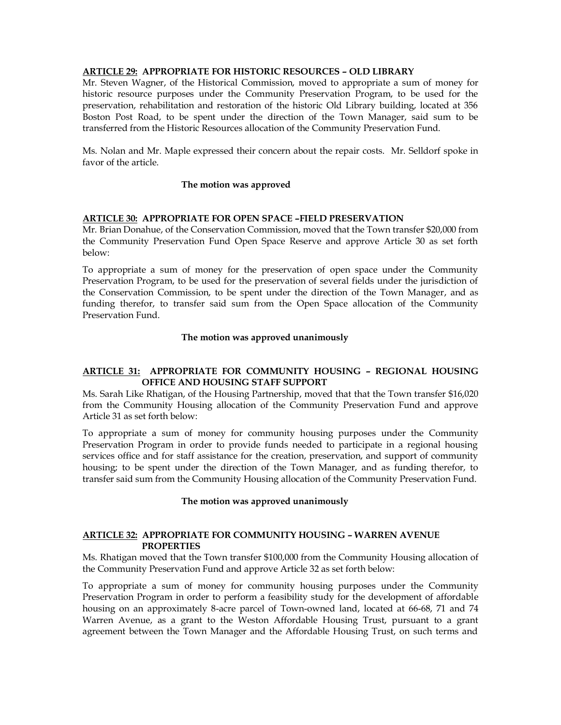## **ARTICLE 29: APPROPRIATE FOR HISTORIC RESOURCES – OLD LIBRARY**

Mr. Steven Wagner, of the Historical Commission, moved to appropriate a sum of money for historic resource purposes under the Community Preservation Program, to be used for the preservation, rehabilitation and restoration of the historic Old Library building, located at 356 Boston Post Road, to be spent under the direction of the Town Manager, said sum to be transferred from the Historic Resources allocation of the Community Preservation Fund.

Ms. Nolan and Mr. Maple expressed their concern about the repair costs. Mr. Selldorf spoke in favor of the article.

#### **The motion was approved**

#### **ARTICLE 30: APPROPRIATE FOR OPEN SPACE –FIELD PRESERVATION**

Mr. Brian Donahue, of the Conservation Commission, moved that the Town transfer \$20,000 from the Community Preservation Fund Open Space Reserve and approve Article 30 as set forth below:

To appropriate a sum of money for the preservation of open space under the Community Preservation Program, to be used for the preservation of several fields under the jurisdiction of the Conservation Commission, to be spent under the direction of the Town Manager, and as funding therefor, to transfer said sum from the Open Space allocation of the Community Preservation Fund.

#### **The motion was approved unanimously**

### **ARTICLE 31: APPROPRIATE FOR COMMUNITY HOUSING – REGIONAL HOUSING OFFICE AND HOUSING STAFF SUPPORT**

Ms. Sarah Like Rhatigan, of the Housing Partnership, moved that that the Town transfer \$16,020 from the Community Housing allocation of the Community Preservation Fund and approve Article 31 as set forth below:

To appropriate a sum of money for community housing purposes under the Community Preservation Program in order to provide funds needed to participate in a regional housing services office and for staff assistance for the creation, preservation, and support of community housing; to be spent under the direction of the Town Manager, and as funding therefor, to transfer said sum from the Community Housing allocation of the Community Preservation Fund.

#### **The motion was approved unanimously**

## **ARTICLE 32: APPROPRIATE FOR COMMUNITY HOUSING – WARREN AVENUE PROPERTIES**

Ms. Rhatigan moved that the Town transfer \$100,000 from the Community Housing allocation of the Community Preservation Fund and approve Article 32 as set forth below:

To appropriate a sum of money for community housing purposes under the Community Preservation Program in order to perform a feasibility study for the development of affordable housing on an approximately 8-acre parcel of Town-owned land, located at 66-68, 71 and 74 Warren Avenue, as a grant to the Weston Affordable Housing Trust, pursuant to a grant agreement between the Town Manager and the Affordable Housing Trust, on such terms and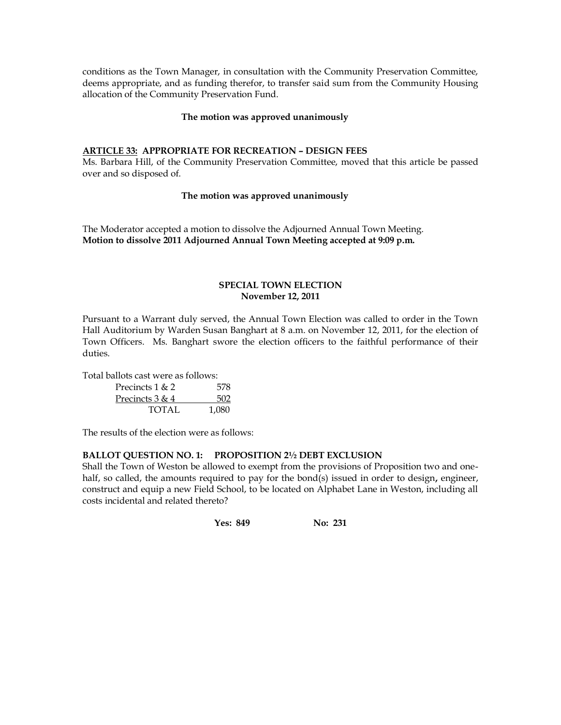conditions as the Town Manager, in consultation with the Community Preservation Committee, deems appropriate, and as funding therefor, to transfer said sum from the Community Housing allocation of the Community Preservation Fund.

### **The motion was approved unanimously**

## **ARTICLE 33: APPROPRIATE FOR RECREATION – DESIGN FEES**

Ms. Barbara Hill, of the Community Preservation Committee, moved that this article be passed over and so disposed of.

## **The motion was approved unanimously**

The Moderator accepted a motion to dissolve the Adjourned Annual Town Meeting. **Motion to dissolve 2011 Adjourned Annual Town Meeting accepted at 9:09 p.m.**

### **SPECIAL TOWN ELECTION November 12, 2011**

Pursuant to a Warrant duly served, the Annual Town Election was called to order in the Town Hall Auditorium by Warden Susan Banghart at 8 a.m. on November 12, 2011, for the election of Town Officers. Ms. Banghart swore the election officers to the faithful performance of their duties.

Total ballots cast were as follows:

| Precincts $1 & 2$ | 578   |
|-------------------|-------|
| Precincts 3 & 4   | 502   |
| TOTAL             | 1,080 |

The results of the election were as follows:

### **BALLOT QUESTION NO. 1: PROPOSITION 2½ DEBT EXCLUSION**

Shall the Town of Weston be allowed to exempt from the provisions of Proposition two and onehalf, so called, the amounts required to pay for the bond(s) issued in order to design**,** engineer, construct and equip a new Field School, to be located on Alphabet Lane in Weston, including all costs incidental and related thereto?

**Yes: 849 No: 231**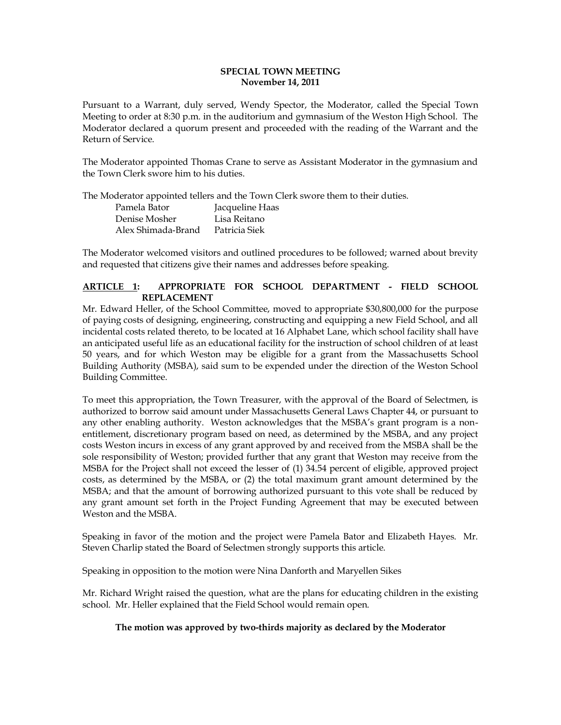### **SPECIAL TOWN MEETING November 14, 2011**

Pursuant to a Warrant, duly served, Wendy Spector, the Moderator, called the Special Town Meeting to order at 8:30 p.m. in the auditorium and gymnasium of the Weston High School. The Moderator declared a quorum present and proceeded with the reading of the Warrant and the Return of Service.

The Moderator appointed Thomas Crane to serve as Assistant Moderator in the gymnasium and the Town Clerk swore him to his duties.

The Moderator appointed tellers and the Town Clerk swore them to their duties.

| Pamela Bator       | Jacqueline Haas |
|--------------------|-----------------|
| Denise Mosher      | Lisa Reitano    |
| Alex Shimada-Brand | Patricia Siek   |

The Moderator welcomed visitors and outlined procedures to be followed; warned about brevity and requested that citizens give their names and addresses before speaking.

# **ARTICLE 1: APPROPRIATE FOR SCHOOL DEPARTMENT - FIELD SCHOOL REPLACEMENT**

Mr. Edward Heller, of the School Committee, moved to appropriate \$30,800,000 for the purpose of paying costs of designing, engineering, constructing and equipping a new Field School, and all incidental costs related thereto, to be located at 16 Alphabet Lane, which school facility shall have an anticipated useful life as an educational facility for the instruction of school children of at least 50 years, and for which Weston may be eligible for a grant from the Massachusetts School Building Authority (MSBA), said sum to be expended under the direction of the Weston School Building Committee.

To meet this appropriation, the Town Treasurer, with the approval of the Board of Selectmen, is authorized to borrow said amount under Massachusetts General Laws Chapter 44, or pursuant to any other enabling authority. Weston acknowledges that the MSBA's grant program is a nonentitlement, discretionary program based on need, as determined by the MSBA, and any project costs Weston incurs in excess of any grant approved by and received from the MSBA shall be the sole responsibility of Weston; provided further that any grant that Weston may receive from the MSBA for the Project shall not exceed the lesser of (1) 34.54 percent of eligible, approved project costs, as determined by the MSBA, or (2) the total maximum grant amount determined by the MSBA; and that the amount of borrowing authorized pursuant to this vote shall be reduced by any grant amount set forth in the Project Funding Agreement that may be executed between Weston and the MSBA.

Speaking in favor of the motion and the project were Pamela Bator and Elizabeth Hayes. Mr. Steven Charlip stated the Board of Selectmen strongly supports this article.

Speaking in opposition to the motion were Nina Danforth and Maryellen Sikes

Mr. Richard Wright raised the question, what are the plans for educating children in the existing school. Mr. Heller explained that the Field School would remain open.

# **The motion was approved by two-thirds majority as declared by the Moderator**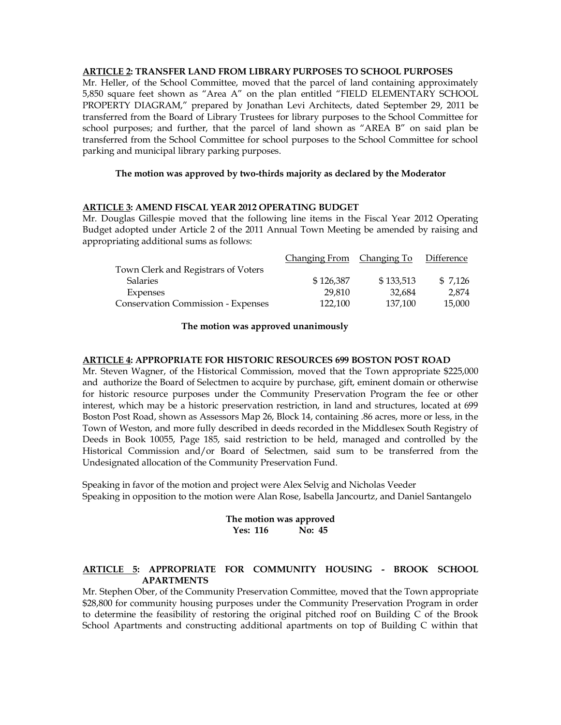## **ARTICLE 2: TRANSFER LAND FROM LIBRARY PURPOSES TO SCHOOL PURPOSES**

Mr. Heller, of the School Committee, moved that the parcel of land containing approximately 5,850 square feet shown as "Area A" on the plan entitled "FIELD ELEMENTARY SCHOOL PROPERTY DIAGRAM," prepared by Jonathan Levi Architects, dated September 29, 2011 be transferred from the Board of Library Trustees for library purposes to the School Committee for school purposes; and further, that the parcel of land shown as "AREA B" on said plan be transferred from the School Committee for school purposes to the School Committee for school parking and municipal library parking purposes.

## **The motion was approved by two-thirds majority as declared by the Moderator**

### **ARTICLE 3: AMEND FISCAL YEAR 2012 OPERATING BUDGET**

Mr. Douglas Gillespie moved that the following line items in the Fiscal Year 2012 Operating Budget adopted under Article 2 of the 2011 Annual Town Meeting be amended by raising and appropriating additional sums as follows:

|           |           | Difference                |
|-----------|-----------|---------------------------|
|           |           |                           |
| \$126,387 | \$133,513 | \$ 7.126                  |
| 29,810    | 32.684    | 2.874                     |
| 122,100   | 137.100   | 15,000                    |
|           |           | Changing From Changing To |

#### **The motion was approved unanimously**

#### **ARTICLE 4: APPROPRIATE FOR HISTORIC RESOURCES 699 BOSTON POST ROAD**

Mr. Steven Wagner, of the Historical Commission, moved that the Town appropriate \$225,000 and authorize the Board of Selectmen to acquire by purchase, gift, eminent domain or otherwise for historic resource purposes under the Community Preservation Program the fee or other interest, which may be a historic preservation restriction, in land and structures, located at 699 Boston Post Road, shown as Assessors Map 26, Block 14, containing .86 acres, more or less, in the Town of Weston, and more fully described in deeds recorded in the Middlesex South Registry of Deeds in Book 10055, Page 185, said restriction to be held, managed and controlled by the Historical Commission and/or Board of Selectmen, said sum to be transferred from the Undesignated allocation of the Community Preservation Fund.

Speaking in favor of the motion and project were Alex Selvig and Nicholas Veeder Speaking in opposition to the motion were Alan Rose, Isabella Jancourtz, and Daniel Santangelo

### **The motion was approved Yes: 116 No: 45**

# **ARTICLE 5: APPROPRIATE FOR COMMUNITY HOUSING - BROOK SCHOOL APARTMENTS**

Mr. Stephen Ober, of the Community Preservation Committee, moved that the Town appropriate \$28,800 for community housing purposes under the Community Preservation Program in order to determine the feasibility of restoring the original pitched roof on Building C of the Brook School Apartments and constructing additional apartments on top of Building C within that